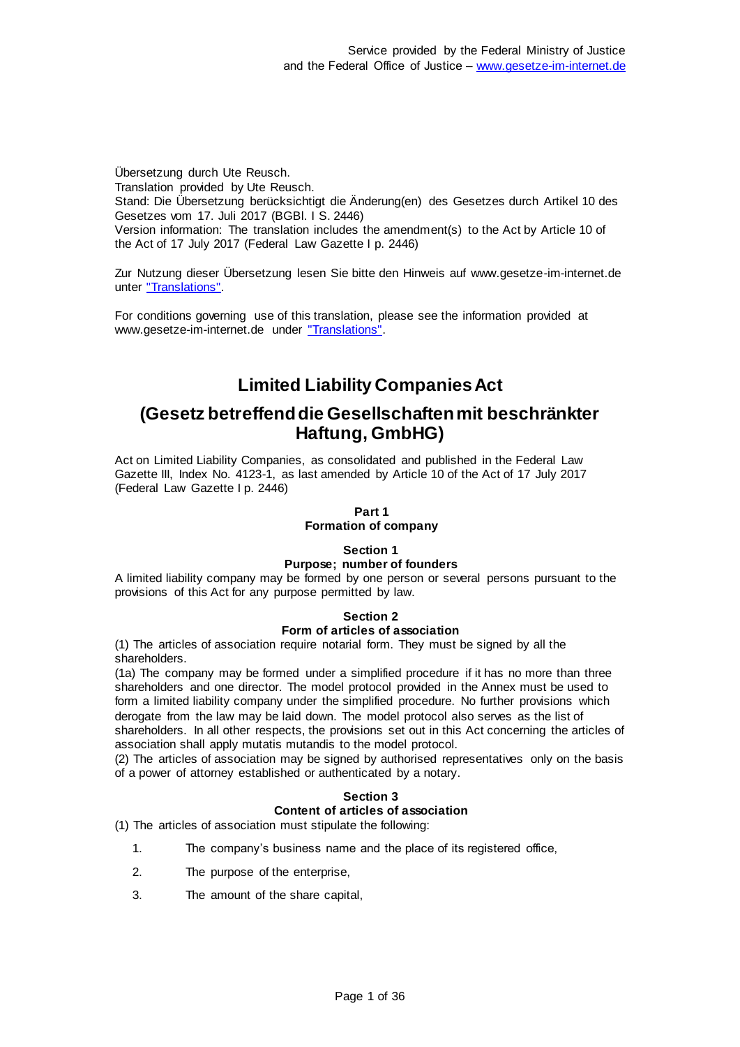Übersetzung durch Ute Reusch. Translation provided by Ute Reusch. Stand: Die Übersetzung berücksichtigt die Änderung(en) des Gesetzes durch Artikel 10 des Gesetzes vom 17. Juli 2017 (BGBl. I S. 2446) Version information: The translation includes the amendment(s) to the Act by Article 10 of the Act of 17 July 2017 (Federal Law Gazette I p. 2446)

Zur Nutzung dieser Übersetzung lesen Sie bitte den Hinweis auf www.gesetze-im-internet.de unter ["Translations".](https://www.gesetze-im-internet.de/Teilliste_translations.html)

For conditions governing use of this translation, please see the information provided at www.gesetze-im-internet.de under ["Translations".](https://www.gesetze-im-internet.de/Teilliste_translations.html)

# **Limited Liability Companies Act**

## **(Gesetz betreffend die Gesellschaften mit beschränkter Haftung, GmbHG)**

Act on Limited Liability Companies, as consolidated and published in the Federal Law Gazette III, Index No. 4123-1, as last amended by Article 10 of the Act of 17 July 2017 (Federal Law Gazette I p. 2446)

## **Part 1**

## **Formation of company**

## **Section 1**

#### **Purpose; number of founders**

A limited liability company may be formed by one person or several persons pursuant to the provisions of this Act for any purpose permitted by law.

## **Section 2**

#### **Form of articles of association**

(1) The articles of association require notarial form. They must be signed by all the shareholders.

(1a) The company may be formed under a simplified procedure if it has no more than three shareholders and one director. The model protocol provided in the Annex must be used to form a limited liability company under the simplified procedure. No further provisions which derogate from the law may be laid down. The model protocol also serves as the list of shareholders. In all other respects, the provisions set out in this Act concerning the articles of

association shall apply mutatis mutandis to the model protocol. (2) The articles of association may be signed by authorised representatives only on the basis

of a power of attorney established or authenticated by a notary.

## **Section 3 Content of articles of association**

(1) The articles of association must stipulate the following:

- 1. The company's business name and the place of its registered office,
- 2. The purpose of the enterprise,
- 3. The amount of the share capital,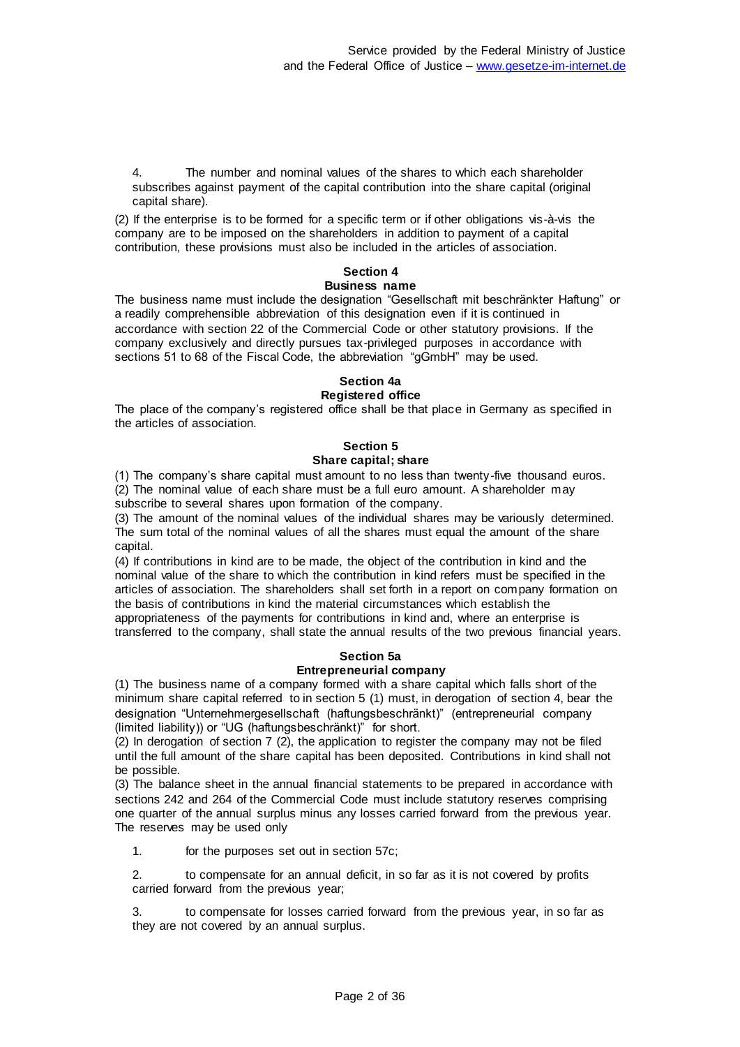4. The number and nominal values of the shares to which each shareholder subscribes against payment of the capital contribution into the share capital (original capital share).

(2) If the enterprise is to be formed for a specific term or if other obligations vis-à-vis the company are to be imposed on the shareholders in addition to payment of a capital contribution, these provisions must also be included in the articles of association.

## **Section 4**

### **Business name**

The business name must include the designation "Gesellschaft mit beschränkter Haftung" or a readily comprehensible abbreviation of this designation even if it is continued in accordance with section 22 of the Commercial Code or other statutory provisions. If the company exclusively and directly pursues tax-privileged purposes in accordance with sections 51 to 68 of the Fiscal Code, the abbreviation "gGmbH" may be used.

#### **Section 4a Registered office**

The place of the company's registered office shall be that place in Germany as specified in the articles of association.

## **Section 5**

### **Share capital; share**

(1) The company's share capital must amount to no less than twenty-five thousand euros. (2) The nominal value of each share must be a full euro amount. A shareholder may subscribe to several shares upon formation of the company.

(3) The amount of the nominal values of the individual shares may be variously determined. The sum total of the nominal values of all the shares must equal the amount of the share capital.

(4) If contributions in kind are to be made, the object of the contribution in kind and the nominal value of the share to which the contribution in kind refers must be specified in the articles of association. The shareholders shall set forth in a report on company formation on the basis of contributions in kind the material circumstances which establish the appropriateness of the payments for contributions in kind and, where an enterprise is transferred to the company, shall state the annual results of the two previous financial years.

## **Section 5a**

## **Entrepreneurial company**

(1) The business name of a company formed with a share capital which falls short of the minimum share capital referred to in section 5 (1) must, in derogation of section 4, bear the designation "Unternehmergesellschaft (haftungsbeschränkt)" (entrepreneurial company (limited liability)) or "UG (haftungsbeschränkt)" for short.

(2) In derogation of section 7 (2), the application to register the company may not be filed until the full amount of the share capital has been deposited. Contributions in kind shall not be possible.

(3) The balance sheet in the annual financial statements to be prepared in accordance with sections 242 and 264 of the Commercial Code must include statutory reserves comprising one quarter of the annual surplus minus any losses carried forward from the previous year. The reserves may be used only

1. for the purposes set out in section 57c;

2. to compensate for an annual deficit, in so far as it is not covered by profits carried forward from the previous year;

to compensate for losses carried forward from the previous year, in so far as they are not covered by an annual surplus.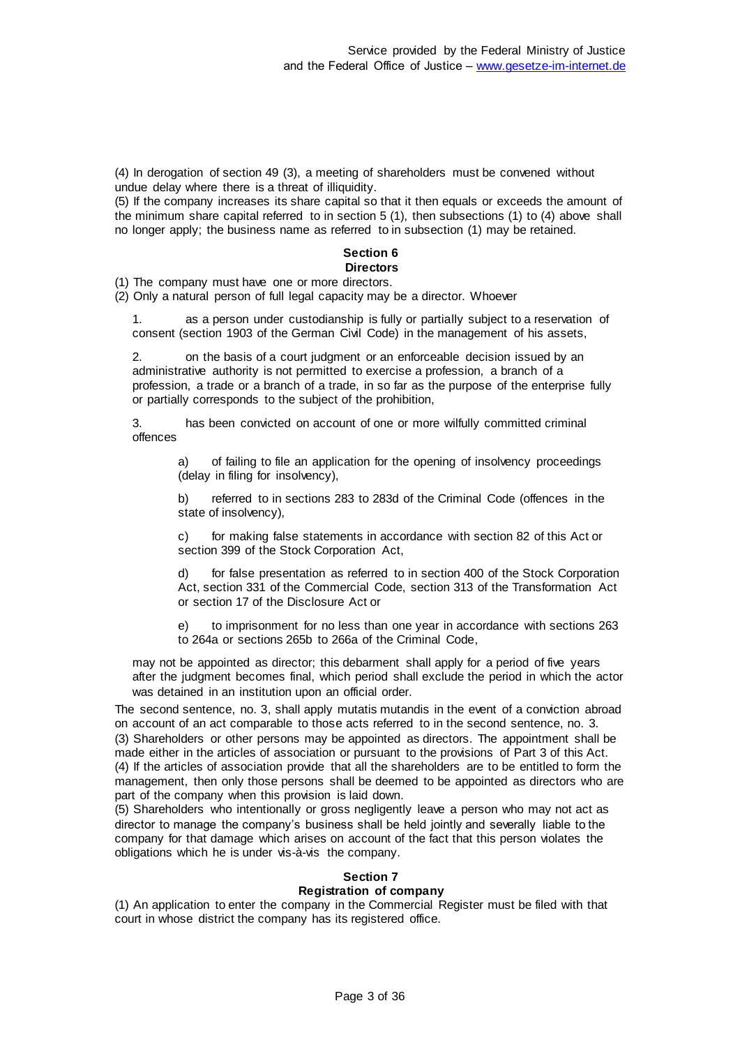(4) In derogation of section 49 (3), a meeting of shareholders must be convened without undue delay where there is a threat of illiquidity.

(5) If the company increases its share capital so that it then equals or exceeds the amount of the minimum share capital referred to in section 5 (1), then subsections (1) to (4) above shall no longer apply; the business name as referred to in subsection (1) may be retained.

#### **Section 6 Directors**

(1) The company must have one or more directors.

(2) Only a natural person of full legal capacity may be a director. Whoever

1. as a person under custodianship is fully or partially subject to a reservation of consent (section 1903 of the German Civil Code) in the management of his assets,

2. on the basis of a court judgment or an enforceable decision issued by an administrative authority is not permitted to exercise a profession, a branch of a profession, a trade or a branch of a trade, in so far as the purpose of the enterprise fully or partially corresponds to the subject of the prohibition,

3. has been convicted on account of one or more wilfully committed criminal offences

> a) of failing to file an application for the opening of insolvency proceedings (delay in filing for insolvency),

b) referred to in sections 283 to 283d of the Criminal Code (offences in the state of insolvency),

c) for making false statements in accordance with section 82 of this Act or section 399 of the Stock Corporation Act,

d) for false presentation as referred to in section 400 of the Stock Corporation Act, section 331 of the Commercial Code, section 313 of the Transformation Act or section 17 of the Disclosure Act or

e) to imprisonment for no less than one year in accordance with sections 263 to 264a or sections 265b to 266a of the Criminal Code,

may not be appointed as director; this debarment shall apply for a period of five years after the judgment becomes final, which period shall exclude the period in which the actor was detained in an institution upon an official order.

The second sentence, no. 3, shall apply mutatis mutandis in the event of a conviction abroad on account of an act comparable to those acts referred to in the second sentence, no. 3. (3) Shareholders or other persons may be appointed as directors. The appointment shall be made either in the articles of association or pursuant to the provisions of Part 3 of this Act. (4) If the articles of association provide that all the shareholders are to be entitled to form the management, then only those persons shall be deemed to be appointed as directors who are part of the company when this provision is laid down.

(5) Shareholders who intentionally or gross negligently leave a person who may not act as director to manage the company's business shall be held jointly and severally liable to the company for that damage which arises on account of the fact that this person violates the obligations which he is under vis-à-vis the company.

## **Section 7**

#### **Registration of company**

(1) An application to enter the company in the Commercial Register must be filed with that court in whose district the company has its registered office.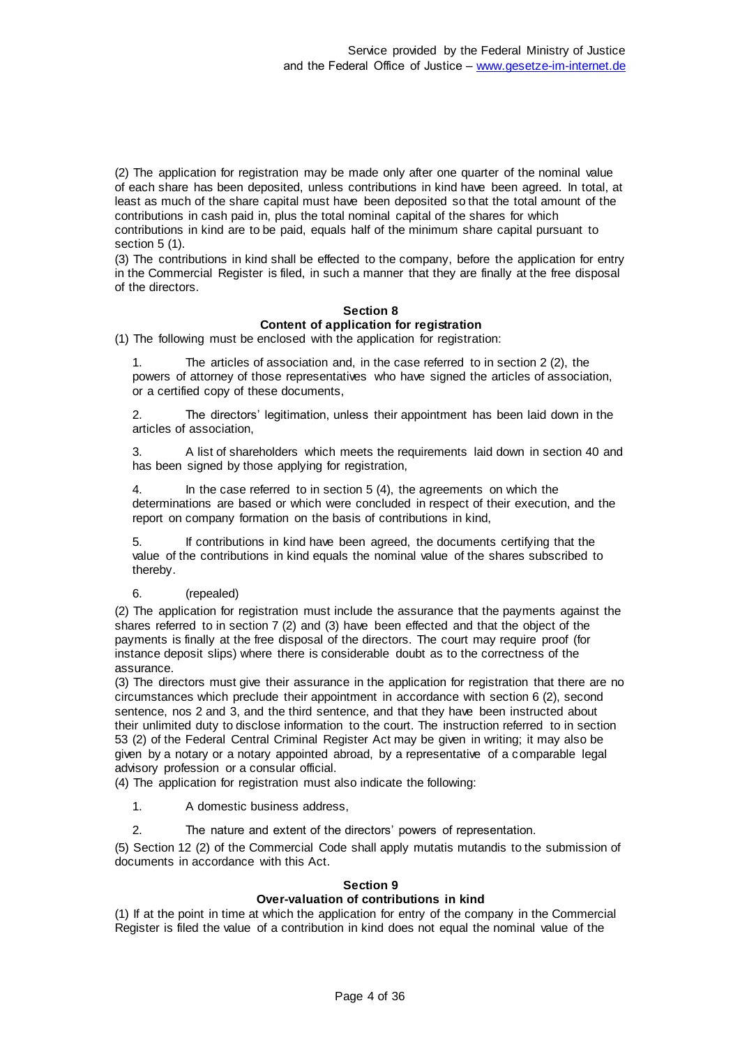(2) The application for registration may be made only after one quarter of the nominal value of each share has been deposited, unless contributions in kind have been agreed. In total, at least as much of the share capital must have been deposited so that the total amount of the contributions in cash paid in, plus the total nominal capital of the shares for which contributions in kind are to be paid, equals half of the minimum share capital pursuant to section 5 (1).

(3) The contributions in kind shall be effected to the company, before the application for entry in the Commercial Register is filed, in such a manner that they are finally at the free disposal of the directors.

## **Section 8 Content of application for registration**

(1) The following must be enclosed with the application for registration:

The articles of association and, in the case referred to in section 2 (2), the powers of attorney of those representatives who have signed the articles of association, or a certified copy of these documents,

2. The directors' legitimation, unless their appointment has been laid down in the articles of association,

3. A list of shareholders which meets the requirements laid down in section 40 and has been signed by those applying for registration,

In the case referred to in section 5 (4), the agreements on which the determinations are based or which were concluded in respect of their execution, and the report on company formation on the basis of contributions in kind,

5. If contributions in kind have been agreed, the documents certifying that the value of the contributions in kind equals the nominal value of the shares subscribed to thereby.

#### 6. (repealed)

(2) The application for registration must include the assurance that the payments against the shares referred to in section 7 (2) and (3) have been effected and that the object of the payments is finally at the free disposal of the directors. The court may require proof (for instance deposit slips) where there is considerable doubt as to the correctness of the assurance.

(3) The directors must give their assurance in the application for registration that there are no circumstances which preclude their appointment in accordance with section 6 (2), second sentence, nos 2 and 3, and the third sentence, and that they have been instructed about their unlimited duty to disclose information to the court. The instruction referred to in section 53 (2) of the Federal Central Criminal Register Act may be given in writing; it may also be given by a notary or a notary appointed abroad, by a representative of a comparable legal advisory profession or a consular official.

(4) The application for registration must also indicate the following:

1. A domestic business address,

2. The nature and extent of the directors' powers of representation.

(5) Section 12 (2) of the Commercial Code shall apply mutatis mutandis to the submission of documents in accordance with this Act.

#### **Section 9**

#### **Over-valuation of contributions in kind**

(1) If at the point in time at which the application for entry of the company in the Commercial Register is filed the value of a contribution in kind does not equal the nominal value of the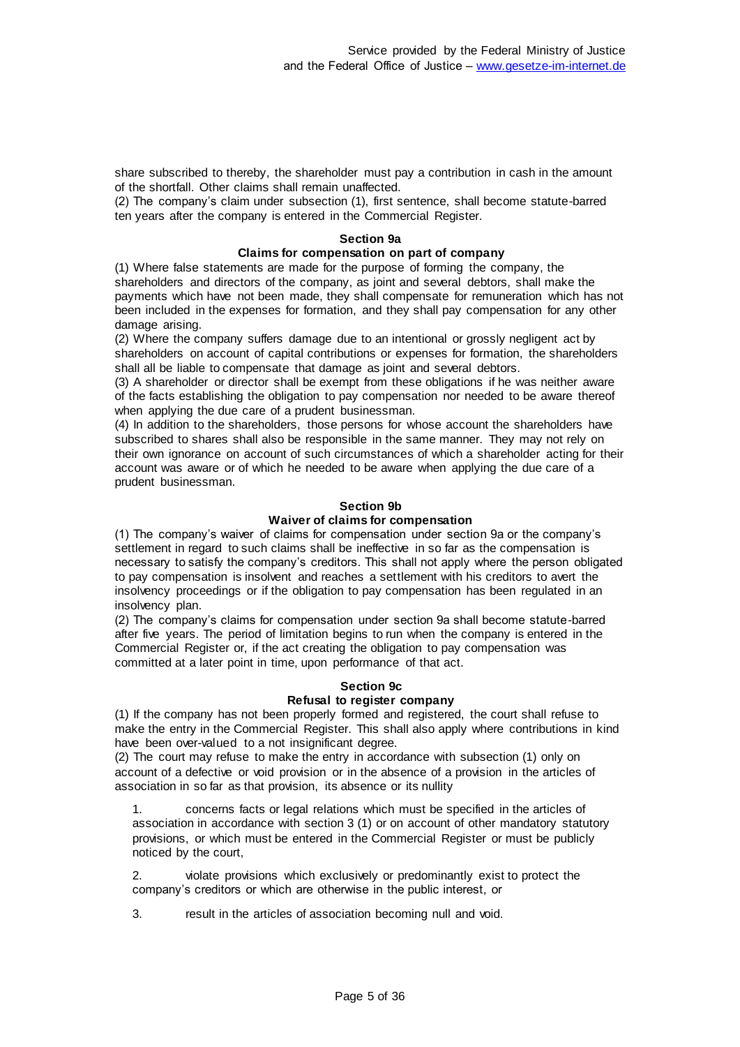share subscribed to thereby, the shareholder must pay a contribution in cash in the amount of the shortfall. Other claims shall remain unaffected.

(2) The company's claim under subsection (1), first sentence, shall become statute-barred ten years after the company is entered in the Commercial Register.

#### **Section 9a**

#### **Claims for compensation on part of company**

(1) Where false statements are made for the purpose of forming the company, the shareholders and directors of the company, as joint and several debtors, shall make the payments which have not been made, they shall compensate for remuneration which has not been included in the expenses for formation, and they shall pay compensation for any other damage arising.

(2) Where the company suffers damage due to an intentional or grossly negligent act by shareholders on account of capital contributions or expenses for formation, the shareholders shall all be liable to compensate that damage as joint and several debtors.

(3) A shareholder or director shall be exempt from these obligations if he was neither aware of the facts establishing the obligation to pay compensation nor needed to be aware thereof when applying the due care of a prudent businessman.

(4) In addition to the shareholders, those persons for whose account the shareholders have subscribed to shares shall also be responsible in the same manner. They may not rely on their own ignorance on account of such circumstances of which a shareholder acting for their account was aware or of which he needed to be aware when applying the due care of a prudent businessman.

#### **Section 9b**

#### **Waiver of claims for compensation**

(1) The company's waiver of claims for compensation under section 9a or the company's settlement in regard to such claims shall be ineffective in so far as the compensation is necessary to satisfy the company's creditors. This shall not apply where the person obligated to pay compensation is insolvent and reaches a settlement with his creditors to avert the insolvency proceedings or if the obligation to pay compensation has been regulated in an insolvency plan.

(2) The company's claims for compensation under section 9a shall become statute-barred after five years. The period of limitation begins to run when the company is entered in the Commercial Register or, if the act creating the obligation to pay compensation was committed at a later point in time, upon performance of that act.

#### **Section 9c**

## **Refusal to register company**

(1) If the company has not been properly formed and registered, the court shall refuse to make the entry in the Commercial Register. This shall also apply where contributions in kind have been over-valued to a not insignificant degree.

(2) The court may refuse to make the entry in accordance with subsection (1) only on account of a defective or void provision or in the absence of a provision in the articles of association in so far as that provision, its absence or its nullity

1. concerns facts or legal relations which must be specified in the articles of association in accordance with section 3 (1) or on account of other mandatory statutory provisions, or which must be entered in the Commercial Register or must be publicly noticed by the court,

2. violate provisions which exclusively or predominantly exist to protect the company's creditors or which are otherwise in the public interest, or

3. result in the articles of association becoming null and void.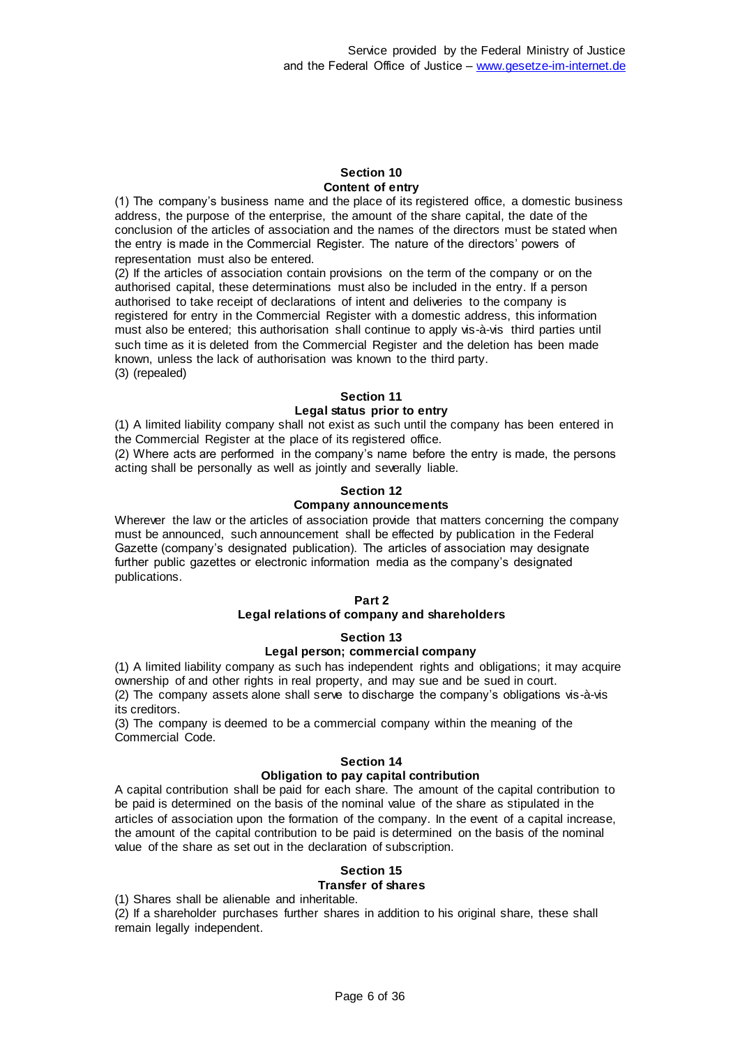#### **Section 10 Content of entry**

(1) The company's business name and the place of its registered office, a domestic business address, the purpose of the enterprise, the amount of the share capital, the date of the conclusion of the articles of association and the names of the directors must be stated when the entry is made in the Commercial Register. The nature of the directors' powers of representation must also be entered.

(2) If the articles of association contain provisions on the term of the company or on the authorised capital, these determinations must also be included in the entry. If a person authorised to take receipt of declarations of intent and deliveries to the company is registered for entry in the Commercial Register with a domestic address, this information must also be entered; this authorisation shall continue to apply vis-à-vis third parties until such time as it is deleted from the Commercial Register and the deletion has been made known, unless the lack of authorisation was known to the third party. (3) (repealed)

### **Section 11**

#### **Legal status prior to entry**

(1) A limited liability company shall not exist as such until the company has been entered in the Commercial Register at the place of its registered office.

(2) Where acts are performed in the company's name before the entry is made, the persons acting shall be personally as well as jointly and severally liable.

#### **Section 12**

#### **Company announcements**

Wherever the law or the articles of association provide that matters concerning the company must be announced, such announcement shall be effected by publication in the Federal Gazette (company's designated publication). The articles of association may designate further public gazettes or electronic information media as the company's designated publications.

#### **Part 2**

#### **Legal relations of company and shareholders**

#### **Section 13**

#### **Legal person; commercial company**

(1) A limited liability company as such has independent rights and obligations; it may acquire ownership of and other rights in real property, and may sue and be sued in court. (2) The company assets alone shall serve to discharge the company's obligations vis-à-vis its creditors.

(3) The company is deemed to be a commercial company within the meaning of the Commercial Code.

#### **Section 14**

#### **Obligation to pay capital contribution**

A capital contribution shall be paid for each share. The amount of the capital contribution to be paid is determined on the basis of the nominal value of the share as stipulated in the articles of association upon the formation of the company. In the event of a capital increase, the amount of the capital contribution to be paid is determined on the basis of the nominal value of the share as set out in the declaration of subscription.

#### **Section 15**

#### **Transfer of shares**

(1) Shares shall be alienable and inheritable.

(2) If a shareholder purchases further shares in addition to his original share, these shall remain legally independent.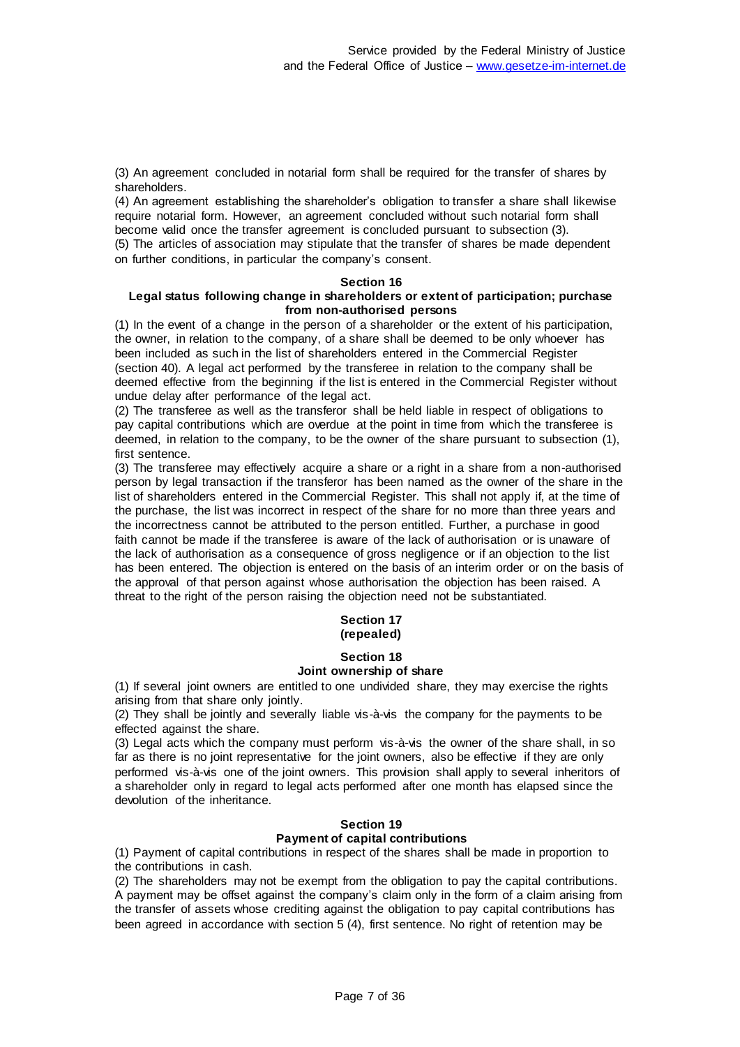(3) An agreement concluded in notarial form shall be required for the transfer of shares by shareholders.

(4) An agreement establishing the shareholder's obligation to transfer a share shall likewise require notarial form. However, an agreement concluded without such notarial form shall become valid once the transfer agreement is concluded pursuant to subsection (3). (5) The articles of association may stipulate that the transfer of shares be made dependent on further conditions, in particular the company's consent.

#### **Section 16**

#### **Legal status following change in shareholders or extent of participation; purchase from non-authorised persons**

(1) In the event of a change in the person of a shareholder or the extent of his participation, the owner, in relation to the company, of a share shall be deemed to be only whoever has been included as such in the list of shareholders entered in the Commercial Register (section 40). A legal act performed by the transferee in relation to the company shall be deemed effective from the beginning if the list is entered in the Commercial Register without undue delay after performance of the legal act.

(2) The transferee as well as the transferor shall be held liable in respect of obligations to pay capital contributions which are overdue at the point in time from which the transferee is deemed, in relation to the company, to be the owner of the share pursuant to subsection (1), first sentence.

(3) The transferee may effectively acquire a share or a right in a share from a non-authorised person by legal transaction if the transferor has been named as the owner of the share in the list of shareholders entered in the Commercial Register. This shall not apply if, at the time of the purchase, the list was incorrect in respect of the share for no more than three years and the incorrectness cannot be attributed to the person entitled. Further, a purchase in good faith cannot be made if the transferee is aware of the lack of authorisation or is unaware of the lack of authorisation as a consequence of gross negligence or if an objection to the list has been entered. The objection is entered on the basis of an interim order or on the basis of the approval of that person against whose authorisation the objection has been raised. A threat to the right of the person raising the objection need not be substantiated.

### **Section 17 (repealed)**

## **Section 18**

## **Joint ownership of share**

(1) If several joint owners are entitled to one undivided share, they may exercise the rights arising from that share only jointly.

(2) They shall be jointly and severally liable vis-à-vis the company for the payments to be effected against the share.

(3) Legal acts which the company must perform vis-à-vis the owner of the share shall, in so far as there is no joint representative for the joint owners, also be effective if they are only performed vis-à-vis one of the joint owners. This provision shall apply to several inheritors of a shareholder only in regard to legal acts performed after one month has elapsed since the devolution of the inheritance.

#### **Section 19 Payment of capital contributions**

(1) Payment of capital contributions in respect of the shares shall be made in proportion to the contributions in cash.

(2) The shareholders may not be exempt from the obligation to pay the capital contributions. A payment may be offset against the company's claim only in the form of a claim arising from the transfer of assets whose crediting against the obligation to pay capital contributions has been agreed in accordance with section 5 (4), first sentence. No right of retention may be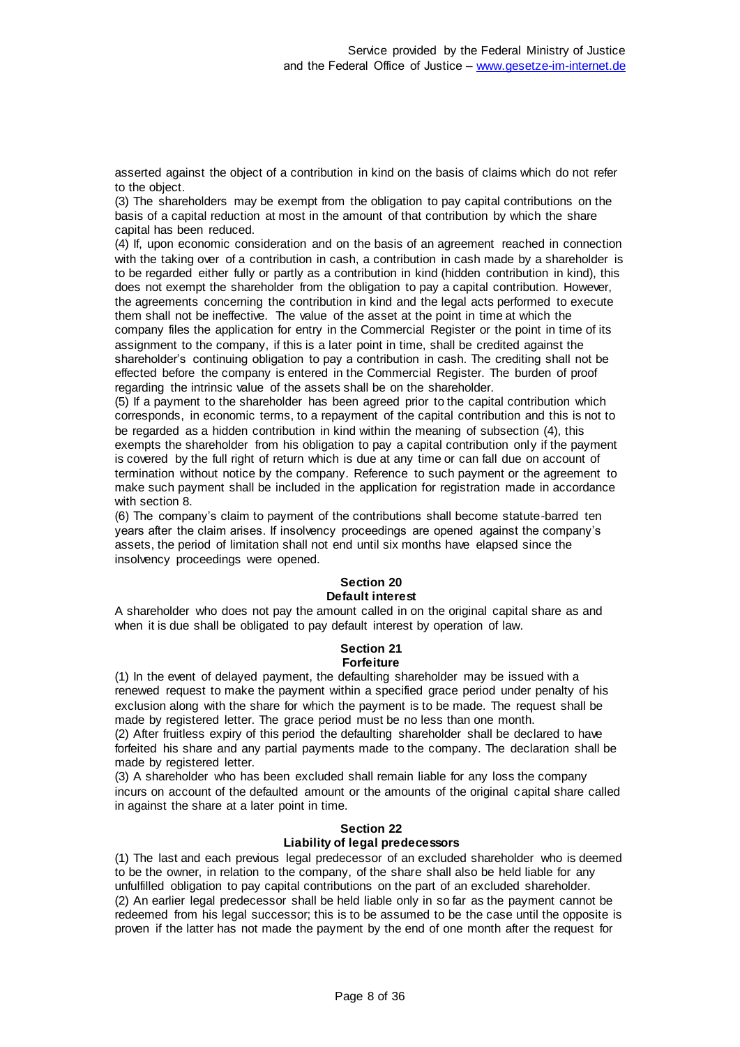asserted against the object of a contribution in kind on the basis of claims which do not refer to the object.

(3) The shareholders may be exempt from the obligation to pay capital contributions on the basis of a capital reduction at most in the amount of that contribution by which the share capital has been reduced.

(4) If, upon economic consideration and on the basis of an agreement reached in connection with the taking over of a contribution in cash, a contribution in cash made by a shareholder is to be regarded either fully or partly as a contribution in kind (hidden contribution in kind), this does not exempt the shareholder from the obligation to pay a capital contribution. However, the agreements concerning the contribution in kind and the legal acts performed to execute them shall not be ineffective. The value of the asset at the point in time at which the company files the application for entry in the Commercial Register or the point in time of its assignment to the company, if this is a later point in time, shall be credited against the shareholder's continuing obligation to pay a contribution in cash. The crediting shall not be effected before the company is entered in the Commercial Register. The burden of proof regarding the intrinsic value of the assets shall be on the shareholder.

(5) If a payment to the shareholder has been agreed prior to the capital contribution which corresponds, in economic terms, to a repayment of the capital contribution and this is not to be regarded as a hidden contribution in kind within the meaning of subsection (4), this exempts the shareholder from his obligation to pay a capital contribution only if the payment is covered by the full right of return which is due at any time or can fall due on account of termination without notice by the company. Reference to such payment or the agreement to make such payment shall be included in the application for registration made in accordance with section 8.

(6) The company's claim to payment of the contributions shall become statute-barred ten years after the claim arises. If insolvency proceedings are opened against the company's assets, the period of limitation shall not end until six months have elapsed since the insolvency proceedings were opened.

#### **Section 20 Default interest**

A shareholder who does not pay the amount called in on the original capital share as and when it is due shall be obligated to pay default interest by operation of law.

#### **Section 21 Forfeiture**

(1) In the event of delayed payment, the defaulting shareholder may be issued with a renewed request to make the payment within a specified grace period under penalty of his exclusion along with the share for which the payment is to be made. The request shall be made by registered letter. The grace period must be no less than one month.

(2) After fruitless expiry of this period the defaulting shareholder shall be declared to have forfeited his share and any partial payments made to the company. The declaration shall be made by registered letter.

(3) A shareholder who has been excluded shall remain liable for any loss the company incurs on account of the defaulted amount or the amounts of the original capital share called in against the share at a later point in time.

## **Section 22**

## **Liability of legal predecessors**

(1) The last and each previous legal predecessor of an excluded shareholder who is deemed to be the owner, in relation to the company, of the share shall also be held liable for any unfulfilled obligation to pay capital contributions on the part of an excluded shareholder. (2) An earlier legal predecessor shall be held liable only in so far as the payment cannot be redeemed from his legal successor; this is to be assumed to be the case until the opposite is proven if the latter has not made the payment by the end of one month after the request for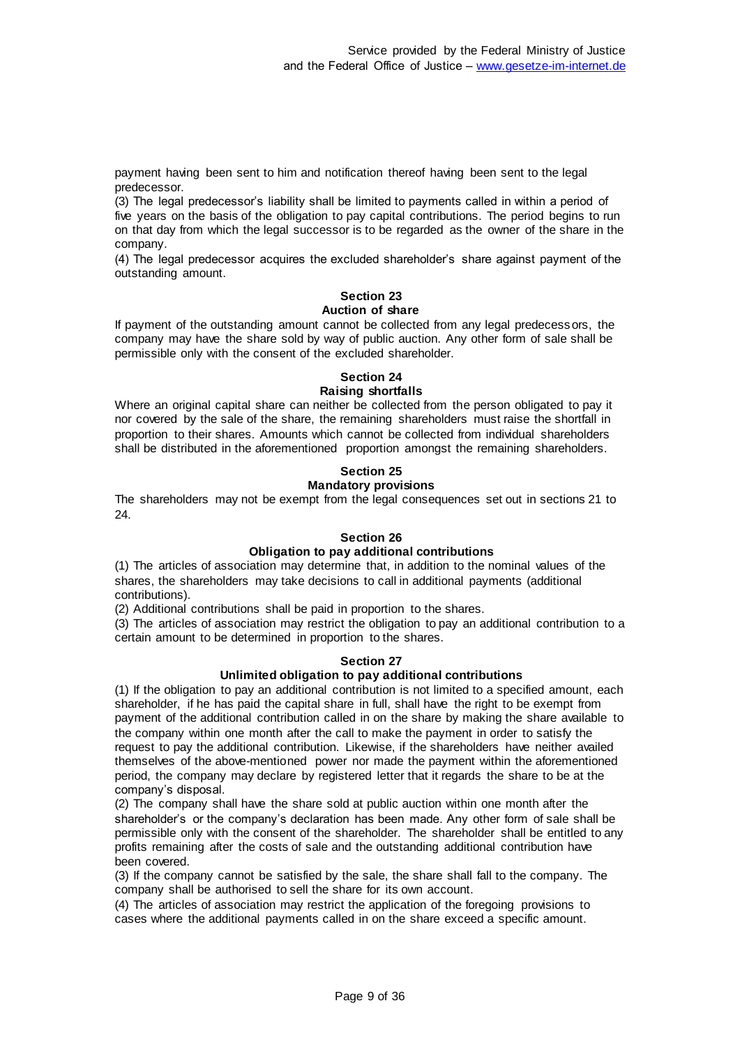payment having been sent to him and notification thereof having been sent to the legal predecessor.

(3) The legal predecessor's liability shall be limited to payments called in within a period of five years on the basis of the obligation to pay capital contributions. The period begins to run on that day from which the legal successor is to be regarded as the owner of the share in the company.

(4) The legal predecessor acquires the excluded shareholder's share against payment of the outstanding amount.

## **Section 23**

#### **Auction of share**

If payment of the outstanding amount cannot be collected from any legal predecessors, the company may have the share sold by way of public auction. Any other form of sale shall be permissible only with the consent of the excluded shareholder.

# **Section 24**

### **Raising shortfalls**

Where an original capital share can neither be collected from the person obligated to pay it nor covered by the sale of the share, the remaining shareholders must raise the shortfall in proportion to their shares. Amounts which cannot be collected from individual shareholders shall be distributed in the aforementioned proportion amongst the remaining shareholders.

## **Section 25**

## **Mandatory provisions**

The shareholders may not be exempt from the legal consequences set out in sections 21 to 24.

### **Section 26**

## **Obligation to pay additional contributions**

(1) The articles of association may determine that, in addition to the nominal values of the shares, the shareholders may take decisions to call in additional payments (additional contributions).

(2) Additional contributions shall be paid in proportion to the shares.

(3) The articles of association may restrict the obligation to pay an additional contribution to a certain amount to be determined in proportion to the shares.

#### **Section 27**

## **Unlimited obligation to pay additional contributions**

(1) If the obligation to pay an additional contribution is not limited to a specified amount, each shareholder, if he has paid the capital share in full, shall have the right to be exempt from payment of the additional contribution called in on the share by making the share available to the company within one month after the call to make the payment in order to satisfy the request to pay the additional contribution. Likewise, if the shareholders have neither availed themselves of the above-mentioned power nor made the payment within the aforementioned period, the company may declare by registered letter that it regards the share to be at the company's disposal.

(2) The company shall have the share sold at public auction within one month after the shareholder's or the company's declaration has been made. Any other form of sale shall be permissible only with the consent of the shareholder. The shareholder shall be entitled to any profits remaining after the costs of sale and the outstanding additional contribution have been covered.

(3) If the company cannot be satisfied by the sale, the share shall fall to the company. The company shall be authorised to sell the share for its own account.

(4) The articles of association may restrict the application of the foregoing provisions to cases where the additional payments called in on the share exceed a specific amount.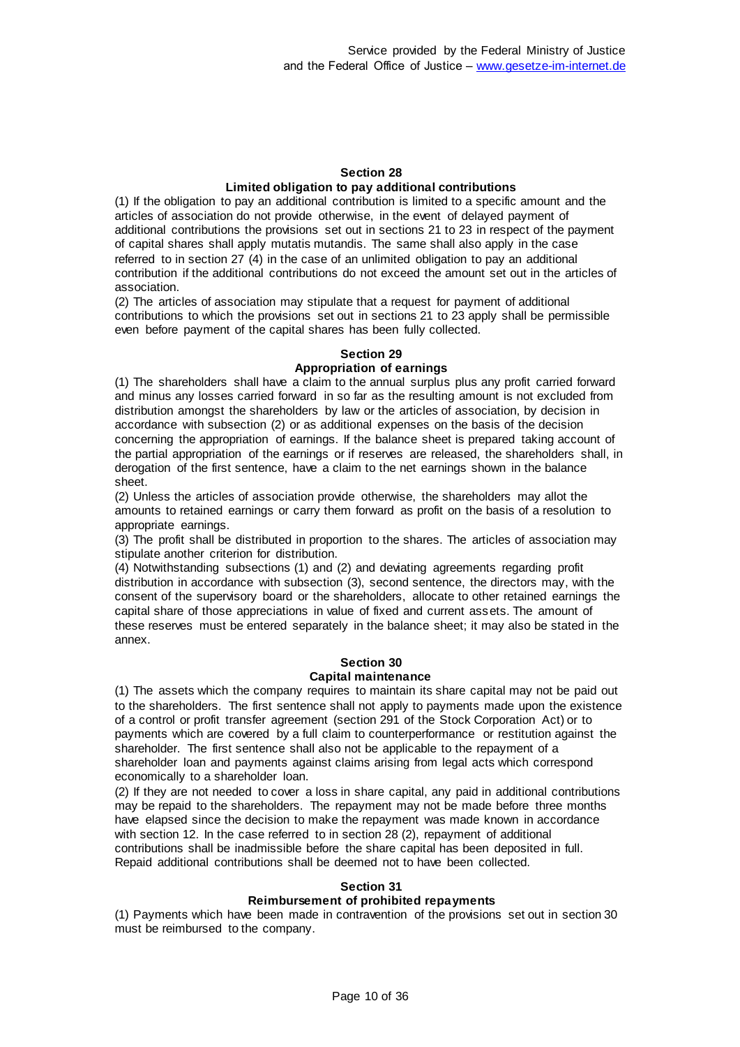#### **Section 28 Limited obligation to pay additional contributions**

(1) If the obligation to pay an additional contribution is limited to a specific amount and the articles of association do not provide otherwise, in the event of delayed payment of additional contributions the provisions set out in sections 21 to 23 in respect of the payment of capital shares shall apply mutatis mutandis. The same shall also apply in the case referred to in section 27 (4) in the case of an unlimited obligation to pay an additional contribution if the additional contributions do not exceed the amount set out in the articles of association.

(2) The articles of association may stipulate that a request for payment of additional contributions to which the provisions set out in sections 21 to 23 apply shall be permissible even before payment of the capital shares has been fully collected.

## **Section 29**

#### **Appropriation of earnings**

(1) The shareholders shall have a claim to the annual surplus plus any profit carried forward and minus any losses carried forward in so far as the resulting amount is not excluded from distribution amongst the shareholders by law or the articles of association, by decision in accordance with subsection (2) or as additional expenses on the basis of the decision concerning the appropriation of earnings. If the balance sheet is prepared taking account of the partial appropriation of the earnings or if reserves are released, the shareholders shall, in derogation of the first sentence, have a claim to the net earnings shown in the balance sheet.

(2) Unless the articles of association provide otherwise, the shareholders may allot the amounts to retained earnings or carry them forward as profit on the basis of a resolution to appropriate earnings.

(3) The profit shall be distributed in proportion to the shares. The articles of association may stipulate another criterion for distribution.

(4) Notwithstanding subsections (1) and (2) and deviating agreements regarding profit distribution in accordance with subsection (3), second sentence, the directors may, with the consent of the supervisory board or the shareholders, allocate to other retained earnings the capital share of those appreciations in value of fixed and current assets. The amount of these reserves must be entered separately in the balance sheet; it may also be stated in the annex.

## **Section 30**

#### **Capital maintenance**

(1) The assets which the company requires to maintain its share capital may not be paid out to the shareholders. The first sentence shall not apply to payments made upon the existence of a control or profit transfer agreement (section 291 of the Stock Corporation Act) or to payments which are covered by a full claim to counterperformance or restitution against the shareholder. The first sentence shall also not be applicable to the repayment of a shareholder loan and payments against claims arising from legal acts which correspond economically to a shareholder loan.

(2) If they are not needed to cover a loss in share capital, any paid in additional contributions may be repaid to the shareholders. The repayment may not be made before three months have elapsed since the decision to make the repayment was made known in accordance with section 12. In the case referred to in section 28 (2), repayment of additional contributions shall be inadmissible before the share capital has been deposited in full. Repaid additional contributions shall be deemed not to have been collected.

#### **Section 31**

### **Reimbursement of prohibited repayments**

(1) Payments which have been made in contravention of the provisions set out in section 30 must be reimbursed to the company.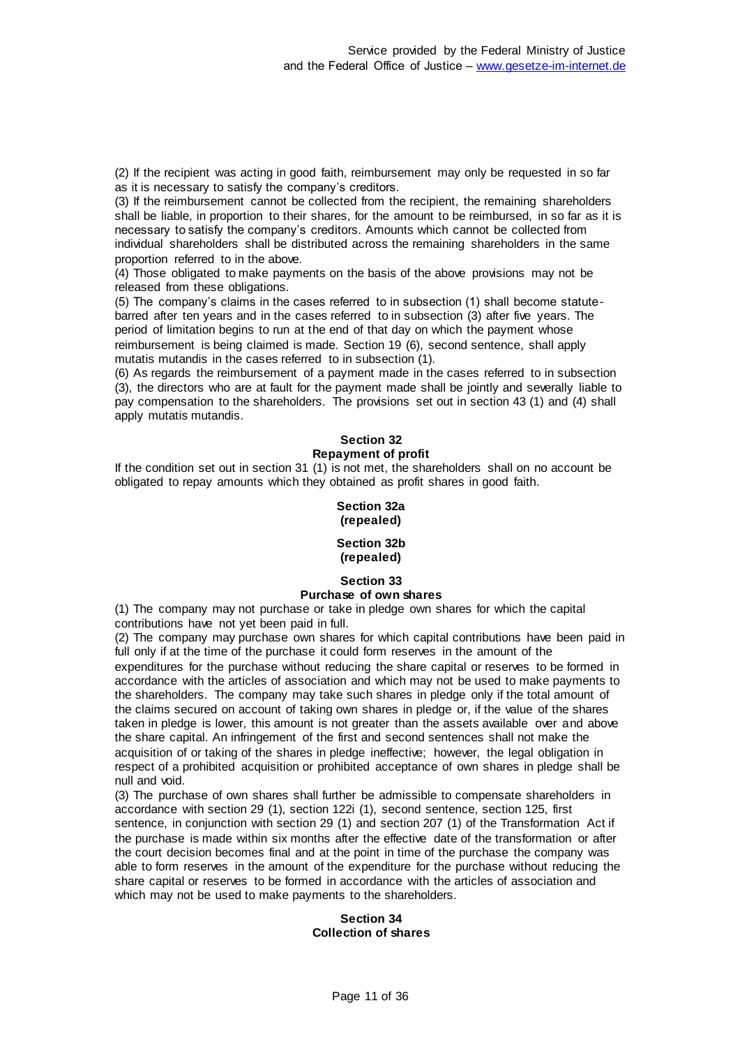(2) If the recipient was acting in good faith, reimbursement may only be requested in so far as it is necessary to satisfy the company's creditors.

(3) If the reimbursement cannot be collected from the recipient, the remaining shareholders shall be liable, in proportion to their shares, for the amount to be reimbursed, in so far as it is necessary to satisfy the company's creditors. Amounts which cannot be collected from individual shareholders shall be distributed across the remaining shareholders in the same proportion referred to in the above.

(4) Those obligated to make payments on the basis of the above provisions may not be released from these obligations.

(5) The company's claims in the cases referred to in subsection (1) shall become statutebarred after ten years and in the cases referred to in subsection (3) after five years. The period of limitation begins to run at the end of that day on which the payment whose reimbursement is being claimed is made. Section 19 (6), second sentence, shall apply mutatis mutandis in the cases referred to in subsection (1).

(6) As regards the reimbursement of a payment made in the cases referred to in subsection (3), the directors who are at fault for the payment made shall be jointly and severally liable to pay compensation to the shareholders. The provisions set out in section 43 (1) and (4) shall apply mutatis mutandis.

## **Section 32 Repayment of profit**

If the condition set out in section 31 (1) is not met, the shareholders shall on no account be obligated to repay amounts which they obtained as profit shares in good faith.

#### **Section 32a (repealed)**

#### **Section 32b (repealed)**

## **Section 33 Purchase of own shares**

(1) The company may not purchase or take in pledge own shares for which the capital contributions have not yet been paid in full.

(2) The company may purchase own shares for which capital contributions have been paid in full only if at the time of the purchase it could form reserves in the amount of the expenditures for the purchase without reducing the share capital or reserves to be formed in accordance with the articles of association and which may not be used to make payments to the shareholders. The company may take such shares in pledge only if the total amount of the claims secured on account of taking own shares in pledge or, if the value of the shares taken in pledge is lower, this amount is not greater than the assets available over and above the share capital. An infringement of the first and second sentences shall not make the acquisition of or taking of the shares in pledge ineffective; however, the legal obligation in respect of a prohibited acquisition or prohibited acceptance of own shares in pledge shall be null and void.

(3) The purchase of own shares shall further be admissible to compensate shareholders in accordance with section 29 (1), section 122i (1), second sentence, section 125, first sentence, in conjunction with section 29 (1) and section 207 (1) of the Transformation Act if the purchase is made within six months after the effective date of the transformation or after the court decision becomes final and at the point in time of the purchase the company was able to form reserves in the amount of the expenditure for the purchase without reducing the share capital or reserves to be formed in accordance with the articles of association and which may not be used to make payments to the shareholders.

### **Section 34 Collection of shares**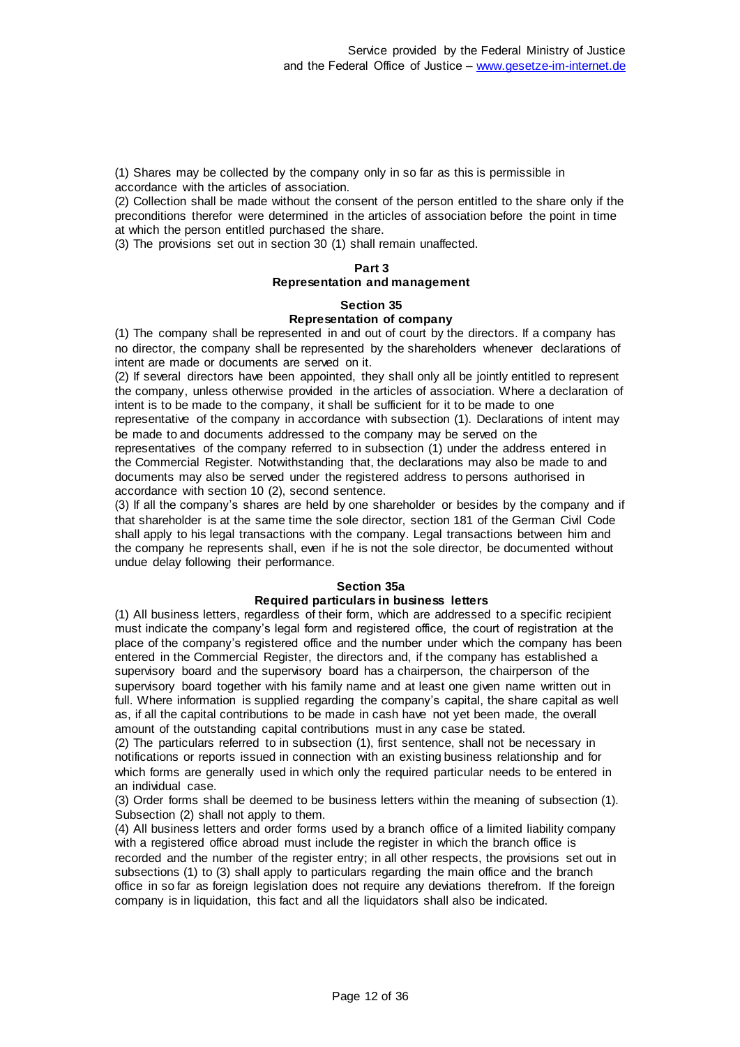(1) Shares may be collected by the company only in so far as this is permissible in accordance with the articles of association.

(2) Collection shall be made without the consent of the person entitled to the share only if the preconditions therefor were determined in the articles of association before the point in time at which the person entitled purchased the share.

(3) The provisions set out in section 30 (1) shall remain unaffected.

## **Part 3 Representation and management**

#### **Section 35**

#### **Representation of company**

(1) The company shall be represented in and out of court by the directors. If a company has no director, the company shall be represented by the shareholders whenever declarations of intent are made or documents are served on it.

(2) If several directors have been appointed, they shall only all be jointly entitled to represent the company, unless otherwise provided in the articles of association. Where a declaration of intent is to be made to the company, it shall be sufficient for it to be made to one representative of the company in accordance with subsection (1). Declarations of intent may

be made to and documents addressed to the company may be served on the representatives of the company referred to in subsection (1) under the address entered in the Commercial Register. Notwithstanding that, the declarations may also be made to and documents may also be served under the registered address to persons authorised in accordance with section 10 (2), second sentence.

(3) If all the company's shares are held by one shareholder or besides by the company and if that shareholder is at the same time the sole director, section 181 of the German Civil Code shall apply to his legal transactions with the company. Legal transactions between him and the company he represents shall, even if he is not the sole director, be documented without undue delay following their performance.

### **Section 35a Required particulars in business letters**

(1) All business letters, regardless of their form, which are addressed to a specific recipient must indicate the company's legal form and registered office, the court of registration at the place of the company's registered office and the number under which the company has been entered in the Commercial Register, the directors and, if the company has established a supervisory board and the supervisory board has a chairperson, the chairperson of the supervisory board together with his family name and at least one given name written out in full. Where information is supplied regarding the company's capital, the share capital as well as, if all the capital contributions to be made in cash have not yet been made, the overall amount of the outstanding capital contributions must in any case be stated.

(2) The particulars referred to in subsection (1), first sentence, shall not be necessary in notifications or reports issued in connection with an existing business relationship and for which forms are generally used in which only the required particular needs to be entered in an individual case.

(3) Order forms shall be deemed to be business letters within the meaning of subsection (1). Subsection (2) shall not apply to them.

(4) All business letters and order forms used by a branch office of a limited liability company with a registered office abroad must include the register in which the branch office is recorded and the number of the register entry; in all other respects, the provisions set out in subsections (1) to (3) shall apply to particulars regarding the main office and the branch office in so far as foreign legislation does not require any deviations therefrom. If the foreign company is in liquidation, this fact and all the liquidators shall also be indicated.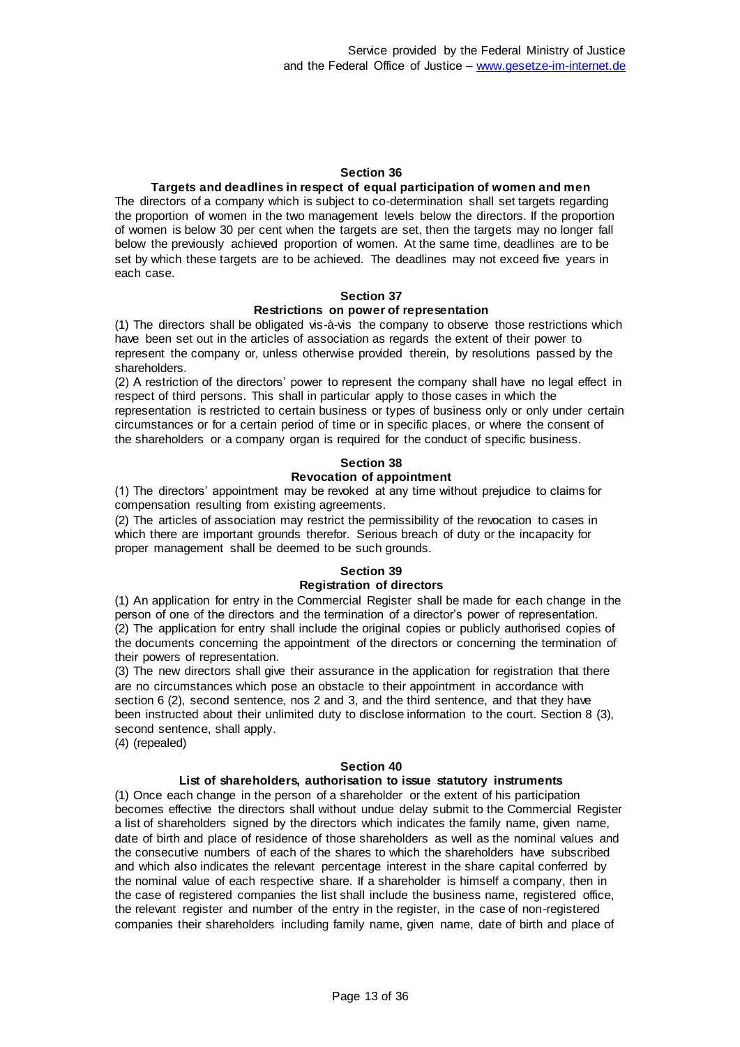#### **Section 36**

#### **Targets and deadlines in respect of equal participation of women and men**

The directors of a company which is subject to co-determination shall set targets regarding the proportion of women in the two management levels below the directors. If the proportion of women is below 30 per cent when the targets are set, then the targets may no longer fall below the previously achieved proportion of women. At the same time, deadlines are to be set by which these targets are to be achieved. The deadlines may not exceed five years in each case.

#### **Section 37**

#### **Restrictions on power of representation**

(1) The directors shall be obligated vis-à-vis the company to observe those restrictions which have been set out in the articles of association as regards the extent of their power to represent the company or, unless otherwise provided therein, by resolutions passed by the shareholders.

(2) A restriction of the directors' power to represent the company shall have no legal effect in respect of third persons. This shall in particular apply to those cases in which the representation is restricted to certain business or types of business only or only under certain circumstances or for a certain period of time or in specific places, or where the consent of the shareholders or a company organ is required for the conduct of specific business.

#### **Section 38 Revocation of appointment**

(1) The directors' appointment may be revoked at any time without prejudice to claims for compensation resulting from existing agreements.

(2) The articles of association may restrict the permissibility of the revocation to cases in which there are important grounds therefor. Serious breach of duty or the incapacity for proper management shall be deemed to be such grounds.

#### **Section 39 Registration of directors**

#### (1) An application for entry in the Commercial Register shall be made for each change in the person of one of the directors and the termination of a director's power of representation. (2) The application for entry shall include the original copies or publicly authorised copies of the documents concerning the appointment of the directors or concerning the termination of their powers of representation.

(3) The new directors shall give their assurance in the application for registration that there are no circumstances which pose an obstacle to their appointment in accordance with section 6 (2), second sentence, nos 2 and 3, and the third sentence, and that they have been instructed about their unlimited duty to disclose information to the court. Section 8 (3), second sentence, shall apply.

(4) (repealed)

#### **Section 40**

#### **List of shareholders, authorisation to issue statutory instruments**

(1) Once each change in the person of a shareholder or the extent of his participation becomes effective the directors shall without undue delay submit to the Commercial Register a list of shareholders signed by the directors which indicates the family name, given name, date of birth and place of residence of those shareholders as well as the nominal values and the consecutive numbers of each of the shares to which the shareholders have subscribed and which also indicates the relevant percentage interest in the share capital conferred by the nominal value of each respective share. If a shareholder is himself a company, then in the case of registered companies the list shall include the business name, registered office, the relevant register and number of the entry in the register, in the case of non-registered companies their shareholders including family name, given name, date of birth and place of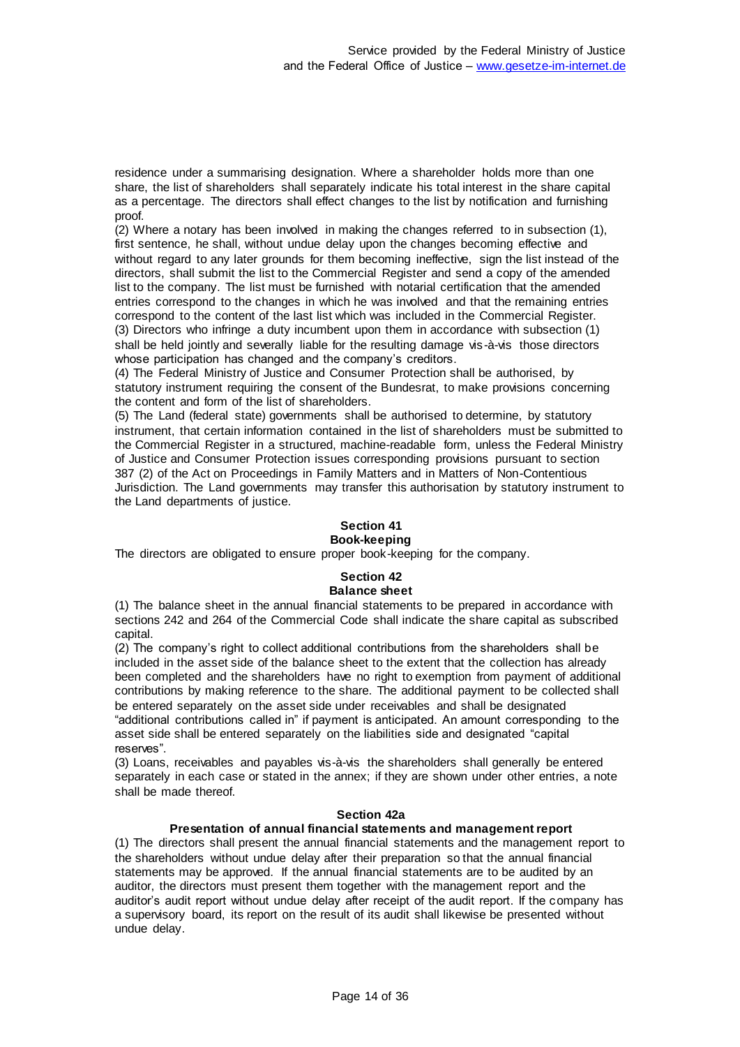residence under a summarising designation. Where a shareholder holds more than one share, the list of shareholders shall separately indicate his total interest in the share capital as a percentage. The directors shall effect changes to the list by notification and furnishing proof.

(2) Where a notary has been involved in making the changes referred to in subsection (1), first sentence, he shall, without undue delay upon the changes becoming effective and without regard to any later grounds for them becoming ineffective, sign the list instead of the directors, shall submit the list to the Commercial Register and send a copy of the amended list to the company. The list must be furnished with notarial certification that the amended entries correspond to the changes in which he was involved and that the remaining entries correspond to the content of the last list which was included in the Commercial Register. (3) Directors who infringe a duty incumbent upon them in accordance with subsection (1) shall be held jointly and severally liable for the resulting damage vis-à-vis those directors whose participation has changed and the company's creditors.

(4) The Federal Ministry of Justice and Consumer Protection shall be authorised, by statutory instrument requiring the consent of the Bundesrat, to make provisions concerning the content and form of the list of shareholders.

(5) The Land (federal state) governments shall be authorised to determine, by statutory instrument, that certain information contained in the list of shareholders must be submitted to the Commercial Register in a structured, machine-readable form, unless the Federal Ministry of Justice and Consumer Protection issues corresponding provisions pursuant to section 387 (2) of the Act on Proceedings in Family Matters and in Matters of Non-Contentious Jurisdiction. The Land governments may transfer this authorisation by statutory instrument to the Land departments of justice.

#### **Section 41 Book-keeping**

## The directors are obligated to ensure proper book-keeping for the company.

#### **Section 42 Balance sheet**

(1) The balance sheet in the annual financial statements to be prepared in accordance with sections 242 and 264 of the Commercial Code shall indicate the share capital as subscribed capital.

(2) The company's right to collect additional contributions from the shareholders shall be included in the asset side of the balance sheet to the extent that the collection has already been completed and the shareholders have no right to exemption from payment of additional contributions by making reference to the share. The additional payment to be collected shall be entered separately on the asset side under receivables and shall be designated "additional contributions called in" if payment is anticipated. An amount corresponding to the asset side shall be entered separately on the liabilities side and designated "capital reserves".

(3) Loans, receivables and payables vis-à-vis the shareholders shall generally be entered separately in each case or stated in the annex; if they are shown under other entries, a note shall be made thereof.

#### **Section 42a**

#### **Presentation of annual financial statements and management report**

(1) The directors shall present the annual financial statements and the management report to the shareholders without undue delay after their preparation so that the annual financial statements may be approved. If the annual financial statements are to be audited by an auditor, the directors must present them together with the management report and the auditor's audit report without undue delay after receipt of the audit report. If the company has a supervisory board, its report on the result of its audit shall likewise be presented without undue delay.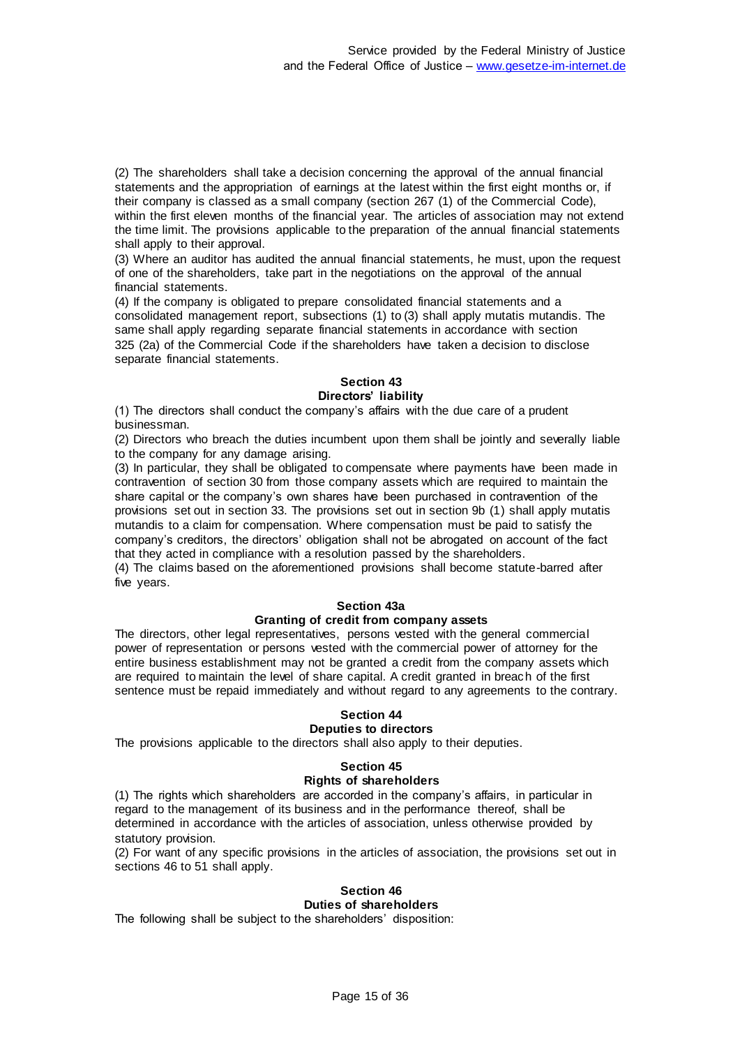(2) The shareholders shall take a decision concerning the approval of the annual financial statements and the appropriation of earnings at the latest within the first eight months or, if their company is classed as a small company (section 267 (1) of the Commercial Code), within the first eleven months of the financial year. The articles of association may not extend the time limit. The provisions applicable to the preparation of the annual financial statements shall apply to their approval.

(3) Where an auditor has audited the annual financial statements, he must, upon the request of one of the shareholders, take part in the negotiations on the approval of the annual financial statements.

(4) If the company is obligated to prepare consolidated financial statements and a consolidated management report, subsections (1) to (3) shall apply mutatis mutandis. The same shall apply regarding separate financial statements in accordance with section 325 (2a) of the Commercial Code if the shareholders have taken a decision to disclose separate financial statements.

#### **Section 43 Directors' liability**

(1) The directors shall conduct the company's affairs with the due care of a prudent businessman.

(2) Directors who breach the duties incumbent upon them shall be jointly and severally liable to the company for any damage arising.

(3) In particular, they shall be obligated to compensate where payments have been made in contravention of section 30 from those company assets which are required to maintain the share capital or the company's own shares have been purchased in contravention of the provisions set out in section 33. The provisions set out in section 9b (1) shall apply mutatis mutandis to a claim for compensation. Where compensation must be paid to satisfy the company's creditors, the directors' obligation shall not be abrogated on account of the fact that they acted in compliance with a resolution passed by the shareholders.

(4) The claims based on the aforementioned provisions shall become statute-barred after five years.

## **Section 43a**

#### **Granting of credit from company assets**

The directors, other legal representatives, persons vested with the general commercial power of representation or persons vested with the commercial power of attorney for the entire business establishment may not be granted a credit from the company assets which are required to maintain the level of share capital. A credit granted in breach of the first sentence must be repaid immediately and without regard to any agreements to the contrary.

## **Section 44**

#### **Deputies to directors**

The provisions applicable to the directors shall also apply to their deputies.

## **Section 45**

#### **Rights of shareholders**

(1) The rights which shareholders are accorded in the company's affairs, in particular in regard to the management of its business and in the performance thereof, shall be determined in accordance with the articles of association, unless otherwise provided by statutory provision.

(2) For want of any specific provisions in the articles of association, the provisions set out in sections 46 to 51 shall apply.

### **Section 46 Duties of shareholders**

The following shall be subject to the shareholders' disposition: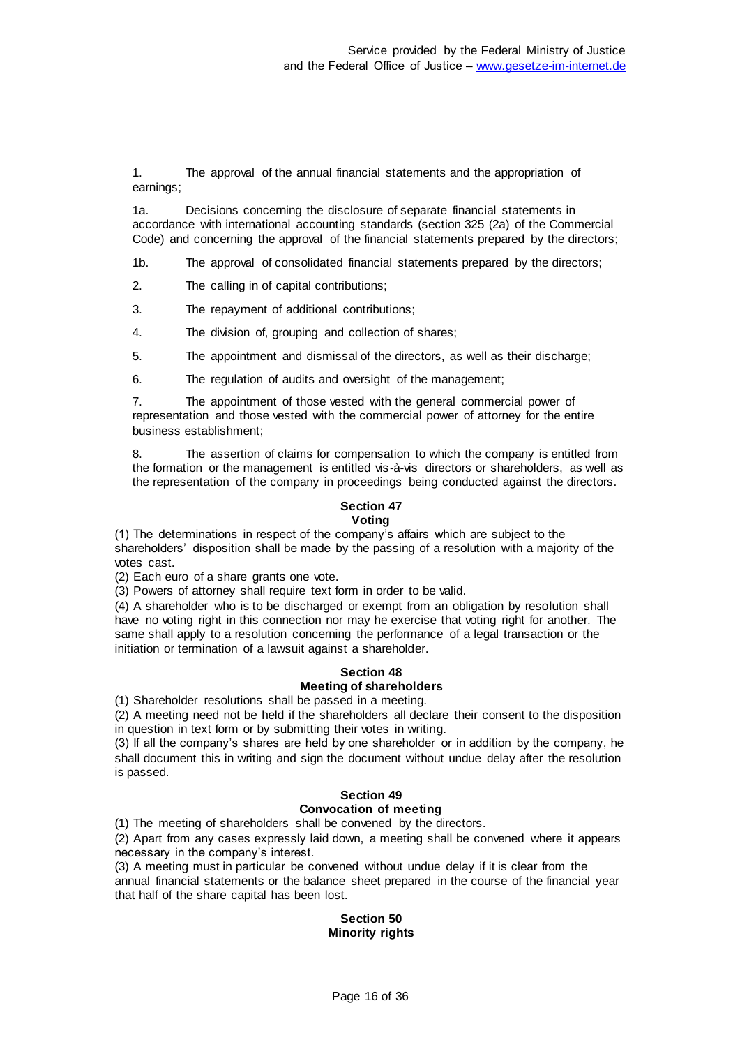1. The approval of the annual financial statements and the appropriation of earnings;

1a. Decisions concerning the disclosure of separate financial statements in accordance with international accounting standards (section 325 (2a) of the Commercial Code) and concerning the approval of the financial statements prepared by the directors;

1b. The approval of consolidated financial statements prepared by the directors;

2. The calling in of capital contributions;

3. The repayment of additional contributions;

4. The division of, grouping and collection of shares;

5. The appointment and dismissal of the directors, as well as their discharge;

6. The regulation of audits and oversight of the management;

7. The appointment of those vested with the general commercial power of representation and those vested with the commercial power of attorney for the entire business establishment;

8. The assertion of claims for compensation to which the company is entitled from the formation or the management is entitled vis-à-vis directors or shareholders, as well as the representation of the company in proceedings being conducted against the directors.

## **Section 47**

#### **Voting**

(1) The determinations in respect of the company's affairs which are subject to the shareholders' disposition shall be made by the passing of a resolution with a majority of the votes cast.

(2) Each euro of a share grants one vote.

(3) Powers of attorney shall require text form in order to be valid.

(4) A shareholder who is to be discharged or exempt from an obligation by resolution shall have no voting right in this connection nor may he exercise that voting right for another. The same shall apply to a resolution concerning the performance of a legal transaction or the initiation or termination of a lawsuit against a shareholder.

#### **Section 48 Meeting of shareholders**

(1) Shareholder resolutions shall be passed in a meeting.

(2) A meeting need not be held if the shareholders all declare their consent to the disposition in question in text form or by submitting their votes in writing.

(3) If all the company's shares are held by one shareholder or in addition by the company, he shall document this in writing and sign the document without undue delay after the resolution is passed.

## **Section 49**

## **Convocation of meeting**

(1) The meeting of shareholders shall be convened by the directors.

(2) Apart from any cases expressly laid down, a meeting shall be convened where it appears necessary in the company's interest.

(3) A meeting must in particular be convened without undue delay if it is clear from the annual financial statements or the balance sheet prepared in the course of the financial year that half of the share capital has been lost.

#### **Section 50 Minority rights**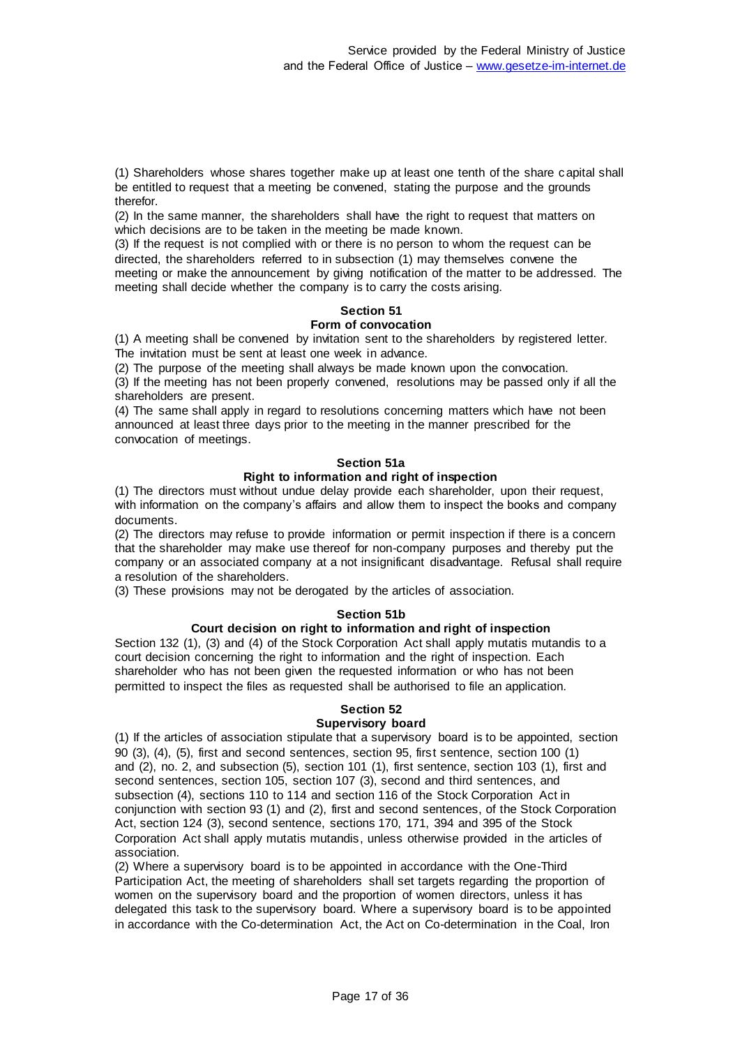(1) Shareholders whose shares together make up at least one tenth of the share capital shall be entitled to request that a meeting be convened, stating the purpose and the grounds therefor.

(2) In the same manner, the shareholders shall have the right to request that matters on which decisions are to be taken in the meeting be made known.

(3) If the request is not complied with or there is no person to whom the request can be directed, the shareholders referred to in subsection (1) may themselves convene the meeting or make the announcement by giving notification of the matter to be addressed. The meeting shall decide whether the company is to carry the costs arising.

## **Section 51**

#### **Form of convocation**

(1) A meeting shall be convened by invitation sent to the shareholders by registered letter. The invitation must be sent at least one week in advance.

(2) The purpose of the meeting shall always be made known upon the convocation.

(3) If the meeting has not been properly convened, resolutions may be passed only if all the shareholders are present.

(4) The same shall apply in regard to resolutions concerning matters which have not been announced at least three days prior to the meeting in the manner prescribed for the convocation of meetings.

#### **Section 51a**

#### **Right to information and right of inspection**

(1) The directors must without undue delay provide each shareholder, upon their request, with information on the company's affairs and allow them to inspect the books and company documents.

(2) The directors may refuse to provide information or permit inspection if there is a concern that the shareholder may make use thereof for non-company purposes and thereby put the company or an associated company at a not insignificant disadvantage. Refusal shall require a resolution of the shareholders.

(3) These provisions may not be derogated by the articles of association.

#### **Section 51b**

#### **Court decision on right to information and right of inspection**

Section 132 (1), (3) and (4) of the Stock Corporation Act shall apply mutatis mutandis to a court decision concerning the right to information and the right of inspection. Each shareholder who has not been given the requested information or who has not been permitted to inspect the files as requested shall be authorised to file an application.

#### **Section 52 Supervisory board**

(1) If the articles of association stipulate that a supervisory board is to be appointed, section 90 (3), (4), (5), first and second sentences, section 95, first sentence, section 100 (1) and (2), no. 2, and subsection (5), section 101 (1), first sentence, section 103 (1), first and second sentences, section 105, section 107 (3), second and third sentences, and subsection (4), sections 110 to 114 and section 116 of the Stock Corporation Act in conjunction with section 93 (1) and (2), first and second sentences, of the Stock Corporation Act, section 124 (3), second sentence, sections 170, 171, 394 and 395 of the Stock Corporation Act shall apply mutatis mutandis, unless otherwise provided in the articles of association.

(2) Where a supervisory board is to be appointed in accordance with the One-Third Participation Act, the meeting of shareholders shall set targets regarding the proportion of women on the supervisory board and the proportion of women directors, unless it has delegated this task to the supervisory board. Where a supervisory board is to be appointed in accordance with the Co-determination Act, the Act on Co-determination in the Coal, Iron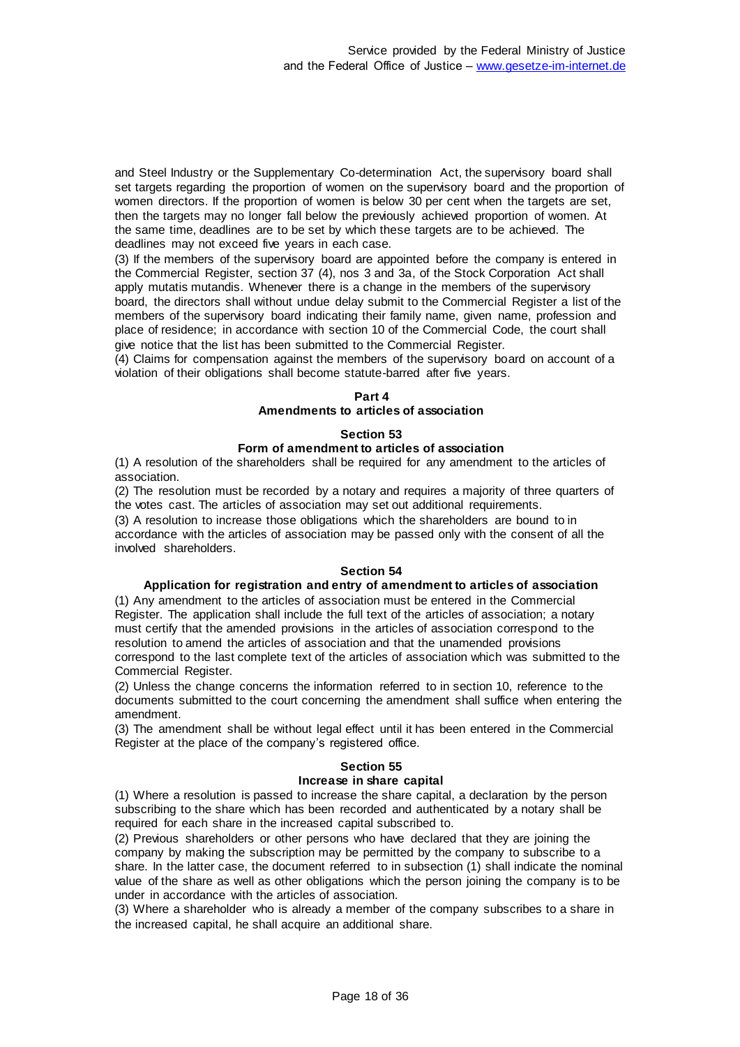and Steel Industry or the Supplementary Co-determination Act, the supervisory board shall set targets regarding the proportion of women on the supervisory board and the proportion of women directors. If the proportion of women is below 30 per cent when the targets are set, then the targets may no longer fall below the previously achieved proportion of women. At the same time, deadlines are to be set by which these targets are to be achieved. The deadlines may not exceed five years in each case.

(3) If the members of the supervisory board are appointed before the company is entered in the Commercial Register, section 37 (4), nos 3 and 3a, of the Stock Corporation Act shall apply mutatis mutandis. Whenever there is a change in the members of the supervisory board, the directors shall without undue delay submit to the Commercial Register a list of the members of the supervisory board indicating their family name, given name, profession and place of residence; in accordance with section 10 of the Commercial Code, the court shall give notice that the list has been submitted to the Commercial Register.

(4) Claims for compensation against the members of the supervisory board on account of a violation of their obligations shall become statute-barred after five years.

### **Part 4 Amendments to articles of association**

## **Section 53 Form of amendment to articles of association**

(1) A resolution of the shareholders shall be required for any amendment to the articles of association.

(2) The resolution must be recorded by a notary and requires a majority of three quarters of the votes cast. The articles of association may set out additional requirements.

(3) A resolution to increase those obligations which the shareholders are bound to in accordance with the articles of association may be passed only with the consent of all the involved shareholders.

## **Section 54**

#### **Application for registration and entry of amendment to articles of association**

(1) Any amendment to the articles of association must be entered in the Commercial Register. The application shall include the full text of the articles of association; a notary must certify that the amended provisions in the articles of association correspond to the resolution to amend the articles of association and that the unamended provisions correspond to the last complete text of the articles of association which was submitted to the Commercial Register.

(2) Unless the change concerns the information referred to in section 10, reference to the documents submitted to the court concerning the amendment shall suffice when entering the amendment.

(3) The amendment shall be without legal effect until it has been entered in the Commercial Register at the place of the company's registered office.

#### **Section 55**

#### **Increase in share capital**

(1) Where a resolution is passed to increase the share capital, a declaration by the person subscribing to the share which has been recorded and authenticated by a notary shall be required for each share in the increased capital subscribed to.

(2) Previous shareholders or other persons who have declared that they are joining the company by making the subscription may be permitted by the company to subscribe to a share. In the latter case, the document referred to in subsection (1) shall indicate the nominal value of the share as well as other obligations which the person joining the company is to be under in accordance with the articles of association.

(3) Where a shareholder who is already a member of the company subscribes to a share in the increased capital, he shall acquire an additional share.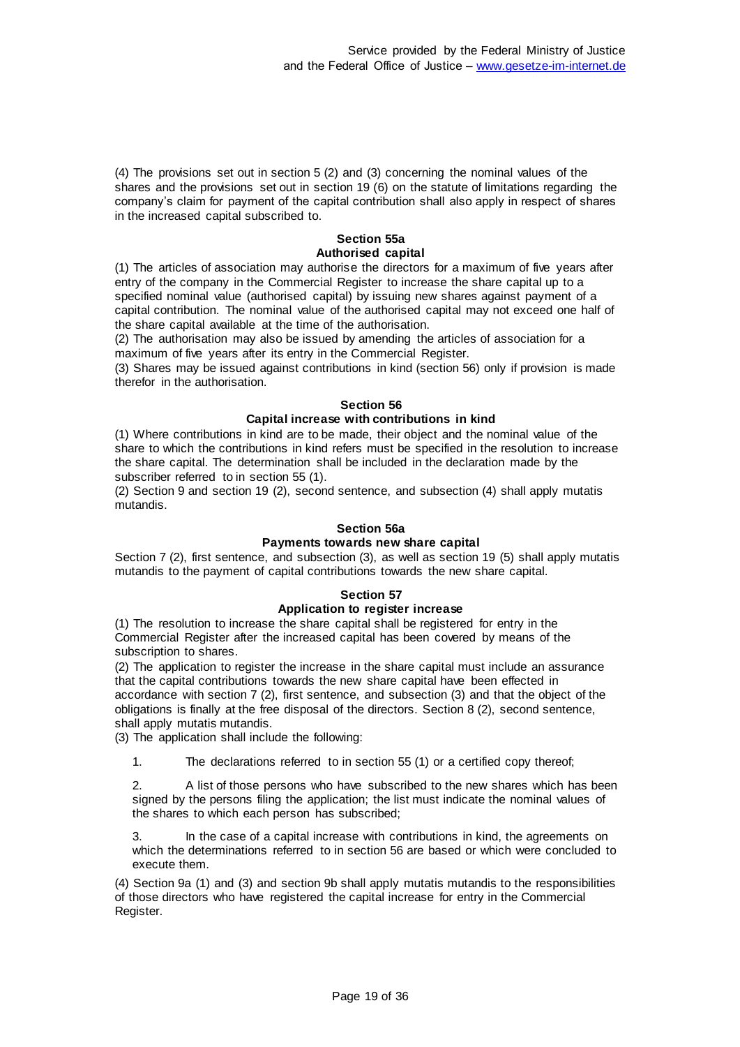(4) The provisions set out in section 5 (2) and (3) concerning the nominal values of the shares and the provisions set out in section 19 (6) on the statute of limitations regarding the company's claim for payment of the capital contribution shall also apply in respect of shares in the increased capital subscribed to.

## **Section 55a Authorised capital**

(1) The articles of association may authorise the directors for a maximum of five years after entry of the company in the Commercial Register to increase the share capital up to a specified nominal value (authorised capital) by issuing new shares against payment of a capital contribution. The nominal value of the authorised capital may not exceed one half of the share capital available at the time of the authorisation.

(2) The authorisation may also be issued by amending the articles of association for a maximum of five years after its entry in the Commercial Register.

(3) Shares may be issued against contributions in kind (section 56) only if provision is made therefor in the authorisation.

### **Section 56**

## **Capital increase with contributions in kind**

(1) Where contributions in kind are to be made, their object and the nominal value of the share to which the contributions in kind refers must be specified in the resolution to increase the share capital. The determination shall be included in the declaration made by the subscriber referred to in section 55 (1).

(2) Section 9 and section 19 (2), second sentence, and subsection (4) shall apply mutatis mutandis.

## **Section 56a**

#### **Payments towards new share capital**

Section 7 (2), first sentence, and subsection (3), as well as section 19 (5) shall apply mutatis mutandis to the payment of capital contributions towards the new share capital.

#### **Section 57**

#### **Application to register increase**

(1) The resolution to increase the share capital shall be registered for entry in the Commercial Register after the increased capital has been covered by means of the subscription to shares.

(2) The application to register the increase in the share capital must include an assurance that the capital contributions towards the new share capital have been effected in accordance with section 7 (2), first sentence, and subsection (3) and that the object of the obligations is finally at the free disposal of the directors. Section 8 (2), second sentence, shall apply mutatis mutandis.

(3) The application shall include the following:

1. The declarations referred to in section 55 (1) or a certified copy thereof;

2. A list of those persons who have subscribed to the new shares which has been signed by the persons filing the application; the list must indicate the nominal values of the shares to which each person has subscribed;

In the case of a capital increase with contributions in kind, the agreements on which the determinations referred to in section 56 are based or which were concluded to execute them.

(4) Section 9a (1) and (3) and section 9b shall apply mutatis mutandis to the responsibilities of those directors who have registered the capital increase for entry in the Commercial Register.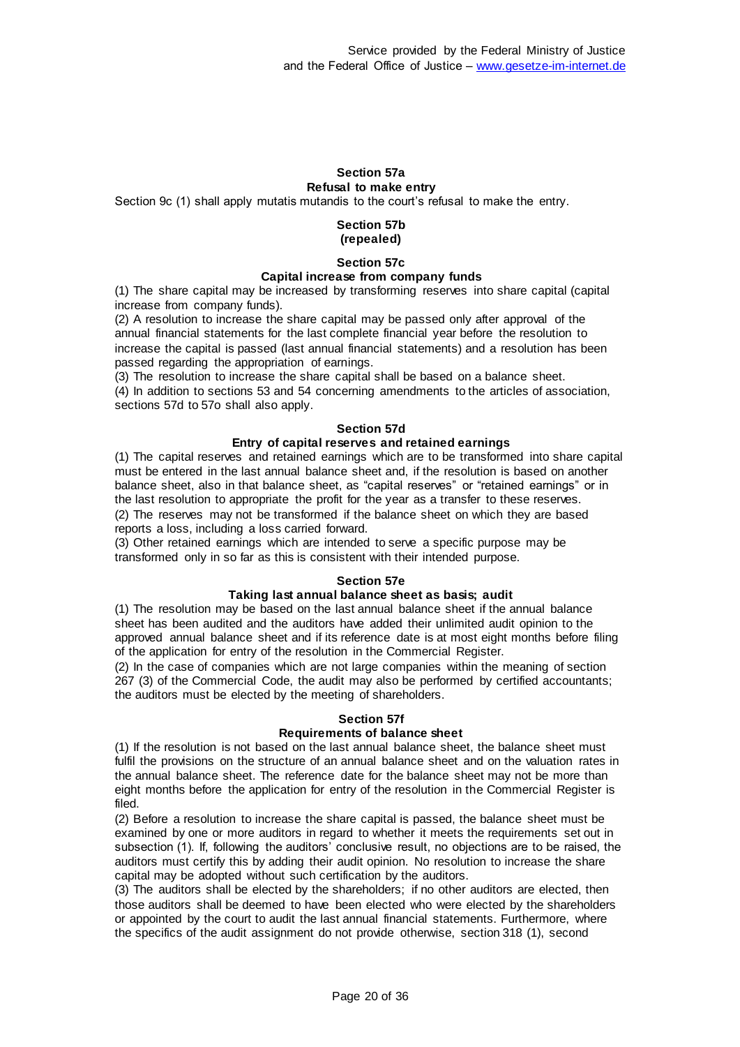#### **Section 57a Refusal to make entry**

Section 9c (1) shall apply mutatis mutandis to the court's refusal to make the entry.

#### **Section 57b (repealed)**

**Section 57c**

#### **Capital increase from company funds**

(1) The share capital may be increased by transforming reserves into share capital (capital increase from company funds).

(2) A resolution to increase the share capital may be passed only after approval of the annual financial statements for the last complete financial year before the resolution to increase the capital is passed (last annual financial statements) and a resolution has been passed regarding the appropriation of earnings.

(3) The resolution to increase the share capital shall be based on a balance sheet. (4) In addition to sections 53 and 54 concerning amendments to the articles of association, sections 57d to 57o shall also apply.

#### **Section 57d**

#### **Entry of capital reserves and retained earnings**

(1) The capital reserves and retained earnings which are to be transformed into share capital must be entered in the last annual balance sheet and, if the resolution is based on another balance sheet, also in that balance sheet, as "capital reserves" or "retained earnings" or in the last resolution to appropriate the profit for the year as a transfer to these reserves. (2) The reserves may not be transformed if the balance sheet on which they are based reports a loss, including a loss carried forward.

(3) Other retained earnings which are intended to serve a specific purpose may be transformed only in so far as this is consistent with their intended purpose.

#### **Section 57e**

#### **Taking last annual balance sheet as basis; audit**

(1) The resolution may be based on the last annual balance sheet if the annual balance sheet has been audited and the auditors have added their unlimited audit opinion to the approved annual balance sheet and if its reference date is at most eight months before filing of the application for entry of the resolution in the Commercial Register.

(2) In the case of companies which are not large companies within the meaning of section 267 (3) of the Commercial Code, the audit may also be performed by certified accountants; the auditors must be elected by the meeting of shareholders.

#### **Section 57f**

#### **Requirements of balance sheet**

(1) If the resolution is not based on the last annual balance sheet, the balance sheet must fulfil the provisions on the structure of an annual balance sheet and on the valuation rates in the annual balance sheet. The reference date for the balance sheet may not be more than eight months before the application for entry of the resolution in the Commercial Register is filed.

(2) Before a resolution to increase the share capital is passed, the balance sheet must be examined by one or more auditors in regard to whether it meets the requirements set out in subsection (1). If, following the auditors' conclusive result, no objections are to be raised, the auditors must certify this by adding their audit opinion. No resolution to increase the share capital may be adopted without such certification by the auditors.

(3) The auditors shall be elected by the shareholders; if no other auditors are elected, then those auditors shall be deemed to have been elected who were elected by the shareholders or appointed by the court to audit the last annual financial statements. Furthermore, where the specifics of the audit assignment do not provide otherwise, section 318 (1), second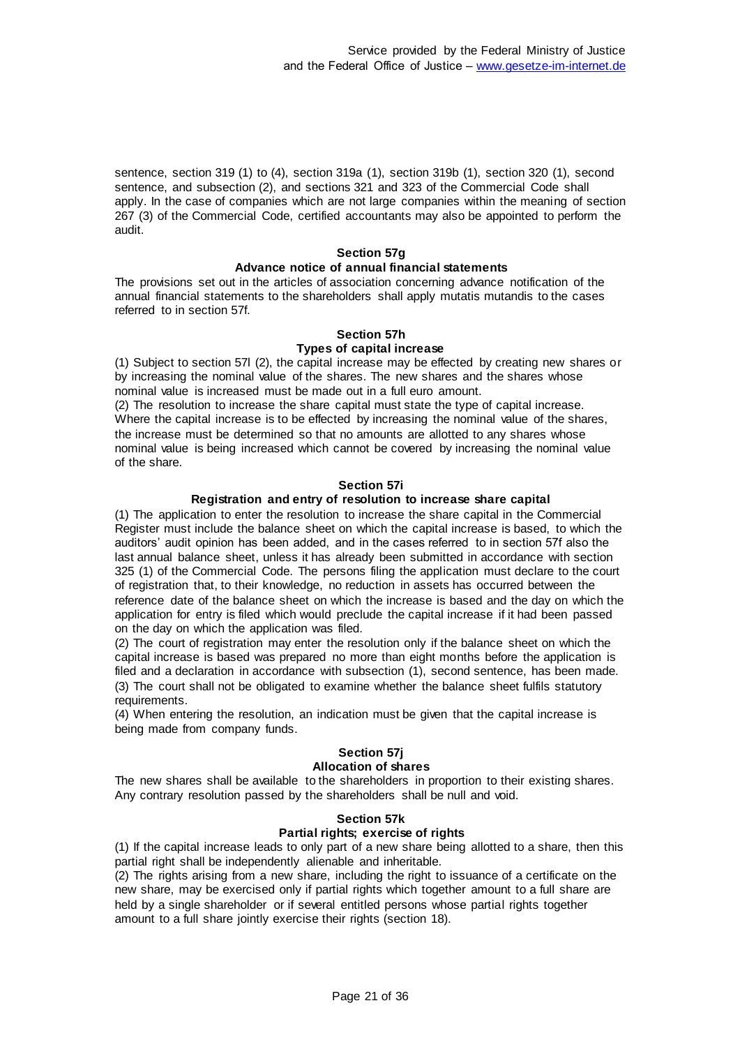sentence, section 319 (1) to (4), section 319a (1), section 319b (1), section 320 (1), second sentence, and subsection (2), and sections 321 and 323 of the Commercial Code shall apply. In the case of companies which are not large companies within the meaning of section 267 (3) of the Commercial Code, certified accountants may also be appointed to perform the audit.

#### **Section 57g Advance notice of annual financial statements**

The provisions set out in the articles of association concerning advance notification of the annual financial statements to the shareholders shall apply mutatis mutandis to the cases referred to in section 57f.

### **Section 57h**

### **Types of capital increase**

(1) Subject to section 57l (2), the capital increase may be effected by creating new shares or by increasing the nominal value of the shares. The new shares and the shares whose nominal value is increased must be made out in a full euro amount.

(2) The resolution to increase the share capital must state the type of capital increase. Where the capital increase is to be effected by increasing the nominal value of the shares, the increase must be determined so that no amounts are allotted to any shares whose nominal value is being increased which cannot be covered by increasing the nominal value of the share.

#### **Section 57i**

#### **Registration and entry of resolution to increase share capital**

(1) The application to enter the resolution to increase the share capital in the Commercial Register must include the balance sheet on which the capital increase is based, to which the auditors' audit opinion has been added, and in the cases referred to in section 57f also the last annual balance sheet, unless it has already been submitted in accordance with section 325 (1) of the Commercial Code. The persons filing the application must declare to the court of registration that, to their knowledge, no reduction in assets has occurred between the reference date of the balance sheet on which the increase is based and the day on which the application for entry is filed which would preclude the capital increase if it had been passed on the day on which the application was filed.

(2) The court of registration may enter the resolution only if the balance sheet on which the capital increase is based was prepared no more than eight months before the application is filed and a declaration in accordance with subsection (1), second sentence, has been made. (3) The court shall not be obligated to examine whether the balance sheet fulfils statutory requirements.

(4) When entering the resolution, an indication must be given that the capital increase is being made from company funds.

## **Section 57j**

#### **Allocation of shares**

The new shares shall be available to the shareholders in proportion to their existing shares. Any contrary resolution passed by the shareholders shall be null and void.

#### **Section 57k**

## **Partial rights; exercise of rights**

(1) If the capital increase leads to only part of a new share being allotted to a share, then this partial right shall be independently alienable and inheritable.

(2) The rights arising from a new share, including the right to issuance of a certificate on the new share, may be exercised only if partial rights which together amount to a full share are held by a single shareholder or if several entitled persons whose partial rights together amount to a full share jointly exercise their rights (section 18).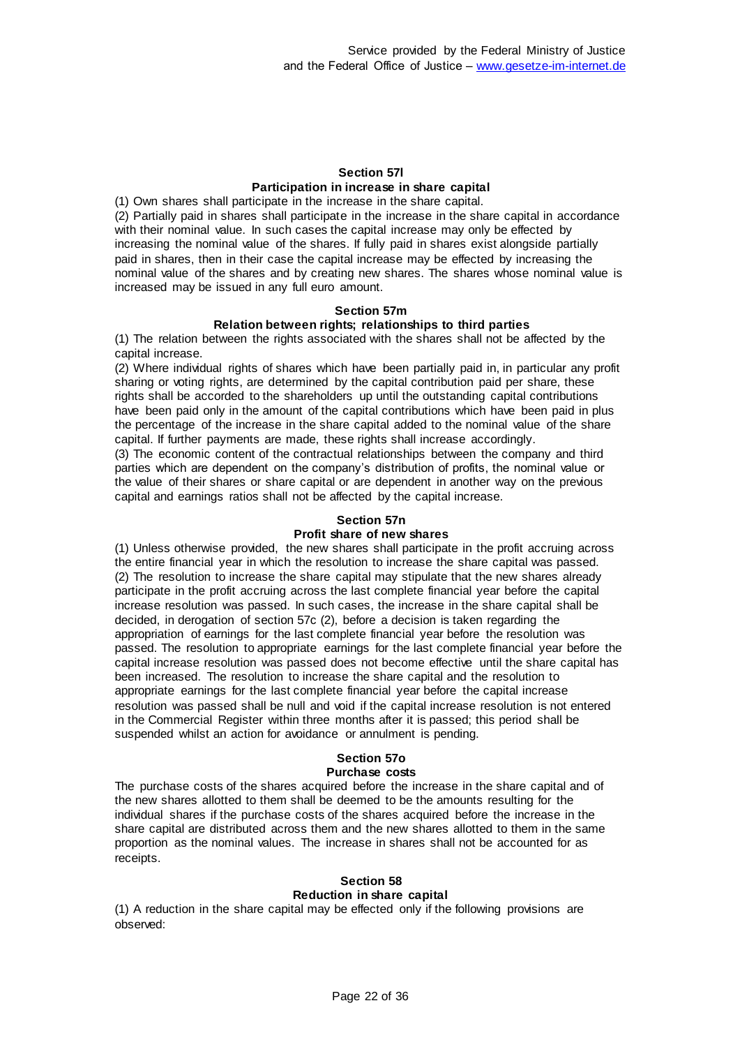#### **Section 57l Participation in increase in share capital**

(1) Own shares shall participate in the increase in the share capital. (2) Partially paid in shares shall participate in the increase in the share capital in accordance with their nominal value. In such cases the capital increase may only be effected by increasing the nominal value of the shares. If fully paid in shares exist alongside partially paid in shares, then in their case the capital increase may be effected by increasing the nominal value of the shares and by creating new shares. The shares whose nominal value is increased may be issued in any full euro amount.

### **Section 57m**

#### **Relation between rights; relationships to third parties**

(1) The relation between the rights associated with the shares shall not be affected by the capital increase.

(2) Where individual rights of shares which have been partially paid in, in particular any profit sharing or voting rights, are determined by the capital contribution paid per share, these rights shall be accorded to the shareholders up until the outstanding capital contributions have been paid only in the amount of the capital contributions which have been paid in plus the percentage of the increase in the share capital added to the nominal value of the share capital. If further payments are made, these rights shall increase accordingly.

(3) The economic content of the contractual relationships between the company and third parties which are dependent on the company's distribution of profits, the nominal value or the value of their shares or share capital or are dependent in another way on the previous capital and earnings ratios shall not be affected by the capital increase.

#### **Section 57n**

#### **Profit share of new shares**

(1) Unless otherwise provided, the new shares shall participate in the profit accruing across the entire financial year in which the resolution to increase the share capital was passed. (2) The resolution to increase the share capital may stipulate that the new shares already participate in the profit accruing across the last complete financial year before the capital increase resolution was passed. In such cases, the increase in the share capital shall be decided, in derogation of section 57c (2), before a decision is taken regarding the appropriation of earnings for the last complete financial year before the resolution was passed. The resolution to appropriate earnings for the last complete financial year before the capital increase resolution was passed does not become effective until the share capital has been increased. The resolution to increase the share capital and the resolution to appropriate earnings for the last complete financial year before the capital increase resolution was passed shall be null and void if the capital increase resolution is not entered in the Commercial Register within three months after it is passed; this period shall be suspended whilst an action for avoidance or annulment is pending.

#### **Section 57o Purchase costs**

The purchase costs of the shares acquired before the increase in the share capital and of the new shares allotted to them shall be deemed to be the amounts resulting for the individual shares if the purchase costs of the shares acquired before the increase in the share capital are distributed across them and the new shares allotted to them in the same proportion as the nominal values. The increase in shares shall not be accounted for as receipts.

## **Section 58**

## **Reduction in share capital**

(1) A reduction in the share capital may be effected only if the following provisions are observed: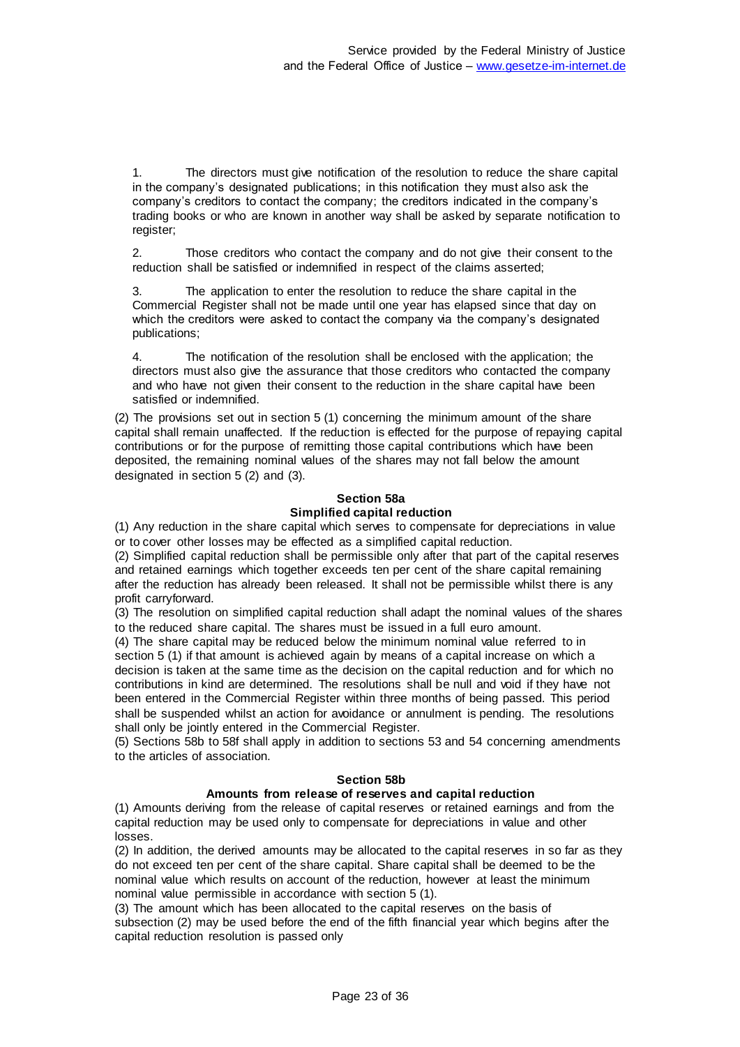1. The directors must give notification of the resolution to reduce the share capital in the company's designated publications; in this notification they must also ask the company's creditors to contact the company; the creditors indicated in the company's trading books or who are known in another way shall be asked by separate notification to register;

2. Those creditors who contact the company and do not give their consent to the reduction shall be satisfied or indemnified in respect of the claims asserted;

3. The application to enter the resolution to reduce the share capital in the Commercial Register shall not be made until one year has elapsed since that day on which the creditors were asked to contact the company via the company's designated publications;

4. The notification of the resolution shall be enclosed with the application; the directors must also give the assurance that those creditors who contacted the company and who have not given their consent to the reduction in the share capital have been satisfied or indemnified.

(2) The provisions set out in section 5 (1) concerning the minimum amount of the share capital shall remain unaffected. If the reduction is effected for the purpose of repaying capital contributions or for the purpose of remitting those capital contributions which have been deposited, the remaining nominal values of the shares may not fall below the amount designated in section 5 (2) and (3).

## **Section 58a Simplified capital reduction**

(1) Any reduction in the share capital which serves to compensate for depreciations in value or to cover other losses may be effected as a simplified capital reduction.

(2) Simplified capital reduction shall be permissible only after that part of the capital reserves and retained earnings which together exceeds ten per cent of the share capital remaining after the reduction has already been released. It shall not be permissible whilst there is any profit carryforward.

(3) The resolution on simplified capital reduction shall adapt the nominal values of the shares to the reduced share capital. The shares must be issued in a full euro amount.

(4) The share capital may be reduced below the minimum nominal value referred to in section 5 (1) if that amount is achieved again by means of a capital increase on which a decision is taken at the same time as the decision on the capital reduction and for which no contributions in kind are determined. The resolutions shall be null and void if they have not been entered in the Commercial Register within three months of being passed. This period shall be suspended whilst an action for avoidance or annulment is pending. The resolutions shall only be jointly entered in the Commercial Register.

(5) Sections 58b to 58f shall apply in addition to sections 53 and 54 concerning amendments to the articles of association.

#### **Section 58b**

## **Amounts from release of reserves and capital reduction**

(1) Amounts deriving from the release of capital reserves or retained earnings and from the capital reduction may be used only to compensate for depreciations in value and other losses.

(2) In addition, the derived amounts may be allocated to the capital reserves in so far as they do not exceed ten per cent of the share capital. Share capital shall be deemed to be the nominal value which results on account of the reduction, however at least the minimum nominal value permissible in accordance with section 5 (1).

(3) The amount which has been allocated to the capital reserves on the basis of subsection (2) may be used before the end of the fifth financial year which begins after the capital reduction resolution is passed only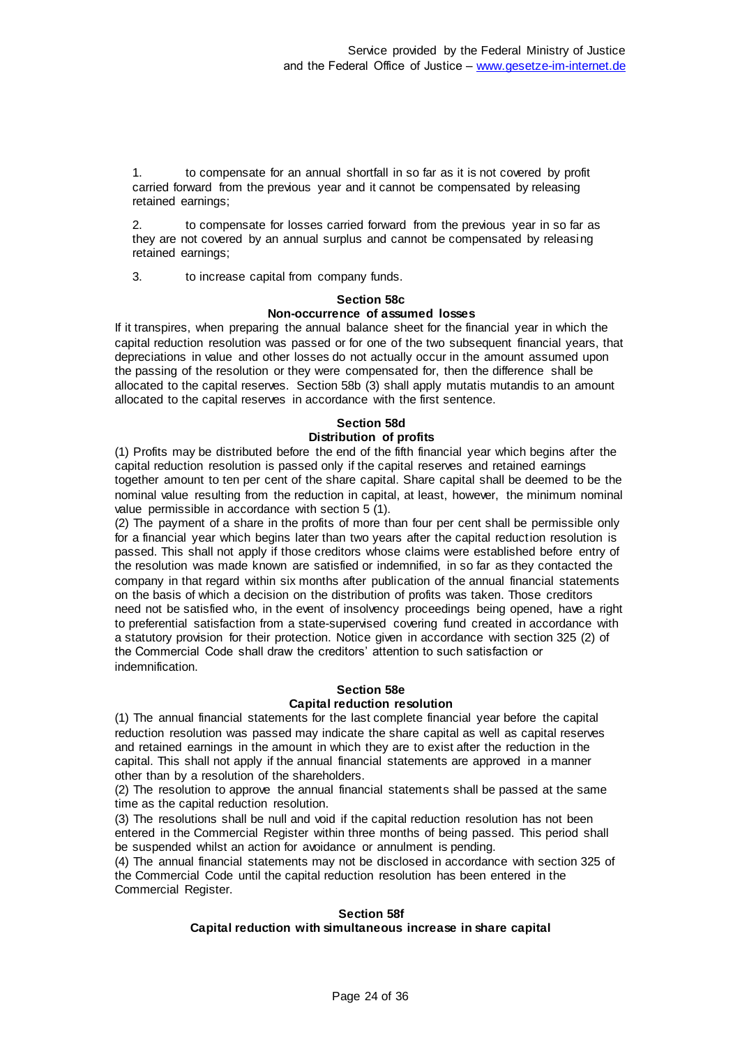1. to compensate for an annual shortfall in so far as it is not covered by profit carried forward from the previous year and it cannot be compensated by releasing retained earnings;

2. to compensate for losses carried forward from the previous year in so far as they are not covered by an annual surplus and cannot be compensated by releasing retained earnings;

3. to increase capital from company funds.

#### **Section 58c Non-occurrence of assumed losses**

If it transpires, when preparing the annual balance sheet for the financial year in which the capital reduction resolution was passed or for one of the two subsequent financial years, that depreciations in value and other losses do not actually occur in the amount assumed upon the passing of the resolution or they were compensated for, then the difference shall be allocated to the capital reserves. Section 58b (3) shall apply mutatis mutandis to an amount allocated to the capital reserves in accordance with the first sentence.

# **Section 58d**

## **Distribution of profits**

(1) Profits may be distributed before the end of the fifth financial year which begins after the capital reduction resolution is passed only if the capital reserves and retained earnings together amount to ten per cent of the share capital. Share capital shall be deemed to be the nominal value resulting from the reduction in capital, at least, however, the minimum nominal value permissible in accordance with section 5 (1).

(2) The payment of a share in the profits of more than four per cent shall be permissible only for a financial year which begins later than two years after the capital reduction resolution is passed. This shall not apply if those creditors whose claims were established before entry of the resolution was made known are satisfied or indemnified, in so far as they contacted the company in that regard within six months after publication of the annual financial statements on the basis of which a decision on the distribution of profits was taken. Those creditors need not be satisfied who, in the event of insolvency proceedings being opened, have a right to preferential satisfaction from a state-supervised covering fund created in accordance with a statutory provision for their protection. Notice given in accordance with section 325 (2) of the Commercial Code shall draw the creditors' attention to such satisfaction or indemnification.

#### **Section 58e Capital reduction resolution**

(1) The annual financial statements for the last complete financial year before the capital reduction resolution was passed may indicate the share capital as well as capital reserves and retained earnings in the amount in which they are to exist after the reduction in the capital. This shall not apply if the annual financial statements are approved in a manner other than by a resolution of the shareholders.

(2) The resolution to approve the annual financial statements shall be passed at the same time as the capital reduction resolution.

(3) The resolutions shall be null and void if the capital reduction resolution has not been entered in the Commercial Register within three months of being passed. This period shall be suspended whilst an action for avoidance or annulment is pending.

(4) The annual financial statements may not be disclosed in accordance with section 325 of the Commercial Code until the capital reduction resolution has been entered in the Commercial Register.

#### **Section 58f Capital reduction with simultaneous increase in share capital**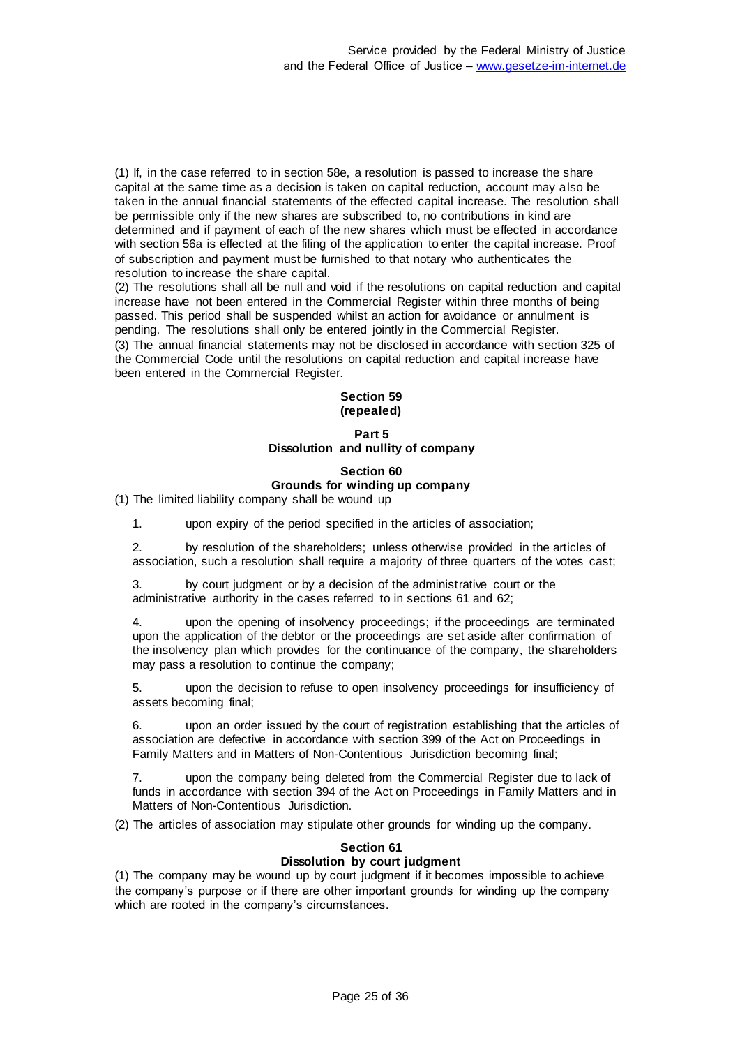(1) If, in the case referred to in section 58e, a resolution is passed to increase the share capital at the same time as a decision is taken on capital reduction, account may also be taken in the annual financial statements of the effected capital increase. The resolution shall be permissible only if the new shares are subscribed to, no contributions in kind are determined and if payment of each of the new shares which must be effected in accordance with section 56a is effected at the filing of the application to enter the capital increase. Proof of subscription and payment must be furnished to that notary who authenticates the resolution to increase the share capital.

(2) The resolutions shall all be null and void if the resolutions on capital reduction and capital increase have not been entered in the Commercial Register within three months of being passed. This period shall be suspended whilst an action for avoidance or annulment is pending. The resolutions shall only be entered jointly in the Commercial Register. (3) The annual financial statements may not be disclosed in accordance with section 325 of the Commercial Code until the resolutions on capital reduction and capital increase have been entered in the Commercial Register.

### **Section 59 (repealed)**

#### **Part 5 Dissolution and nullity of company**

## **Section 60 Grounds for winding up company**

(1) The limited liability company shall be wound up

1. upon expiry of the period specified in the articles of association;

2. by resolution of the shareholders; unless otherwise provided in the articles of association, such a resolution shall require a majority of three quarters of the votes cast;

3. by court judgment or by a decision of the administrative court or the administrative authority in the cases referred to in sections 61 and 62;

4. upon the opening of insolvency proceedings; if the proceedings are terminated upon the application of the debtor or the proceedings are set aside after confirmation of the insolvency plan which provides for the continuance of the company, the shareholders may pass a resolution to continue the company;

5. upon the decision to refuse to open insolvency proceedings for insufficiency of assets becoming final;

6. upon an order issued by the court of registration establishing that the articles of association are defective in accordance with section 399 of the Act on Proceedings in Family Matters and in Matters of Non-Contentious Jurisdiction becoming final;

7. upon the company being deleted from the Commercial Register due to lack of funds in accordance with section 394 of the Act on Proceedings in Family Matters and in Matters of Non-Contentious Jurisdiction.

(2) The articles of association may stipulate other grounds for winding up the company.

#### **Section 61**

#### **Dissolution by court judgment**

(1) The company may be wound up by court judgment if it becomes impossible to achieve the company's purpose or if there are other important grounds for winding up the company which are rooted in the company's circumstances.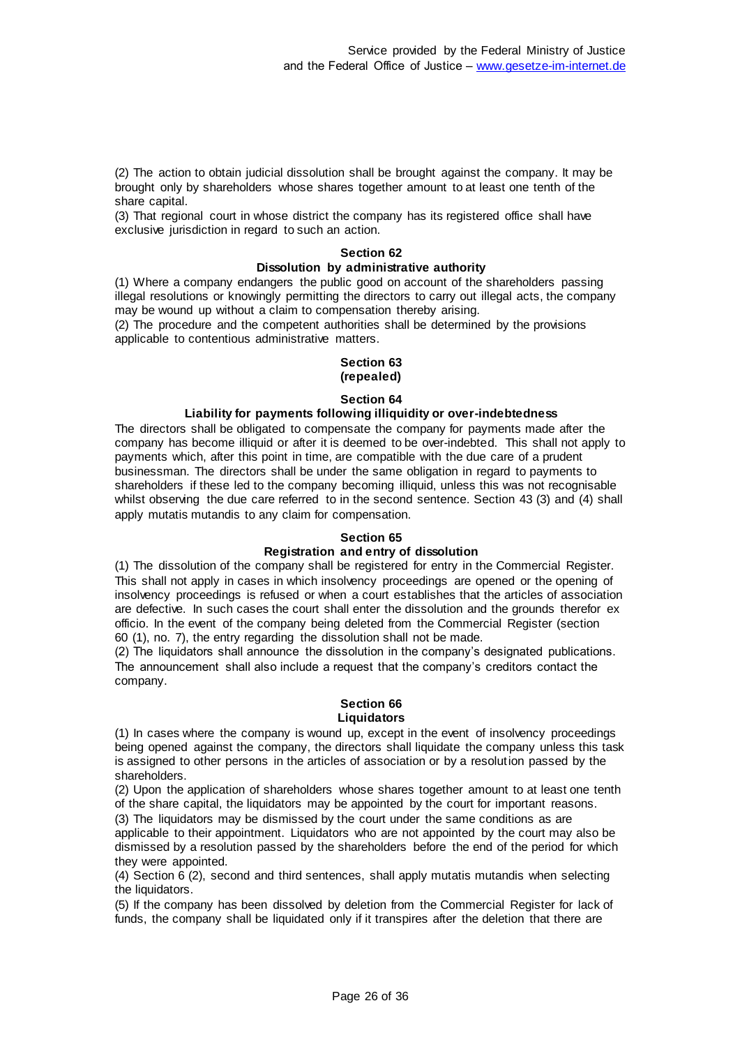(2) The action to obtain judicial dissolution shall be brought against the company. It may be brought only by shareholders whose shares together amount to at least one tenth of the share capital.

(3) That regional court in whose district the company has its registered office shall have exclusive jurisdiction in regard to such an action.

#### **Section 62**

### **Dissolution by administrative authority**

(1) Where a company endangers the public good on account of the shareholders passing illegal resolutions or knowingly permitting the directors to carry out illegal acts, the company may be wound up without a claim to compensation thereby arising.

(2) The procedure and the competent authorities shall be determined by the provisions applicable to contentious administrative matters.

#### **Section 63 (repealed)**

#### **Section 64**

#### **Liability for payments following illiquidity or over-indebtedness**

The directors shall be obligated to compensate the company for payments made after the company has become illiquid or after it is deemed to be over-indebted. This shall not apply to payments which, after this point in time, are compatible with the due care of a prudent businessman. The directors shall be under the same obligation in regard to payments to shareholders if these led to the company becoming illiquid, unless this was not recognisable whilst observing the due care referred to in the second sentence. Section 43 (3) and (4) shall apply mutatis mutandis to any claim for compensation.

#### **Section 65**

### **Registration and entry of dissolution**

(1) The dissolution of the company shall be registered for entry in the Commercial Register. This shall not apply in cases in which insolvency proceedings are opened or the opening of insolvency proceedings is refused or when a court establishes that the articles of association are defective. In such cases the court shall enter the dissolution and the grounds therefor ex officio. In the event of the company being deleted from the Commercial Register (section 60 (1), no. 7), the entry regarding the dissolution shall not be made.

(2) The liquidators shall announce the dissolution in the company's designated publications. The announcement shall also include a request that the company's creditors contact the company.

#### **Section 66 Liquidators**

(1) In cases where the company is wound up, except in the event of insolvency proceedings being opened against the company, the directors shall liquidate the company unless this task is assigned to other persons in the articles of association or by a resolution passed by the shareholders.

(2) Upon the application of shareholders whose shares together amount to at least one tenth of the share capital, the liquidators may be appointed by the court for important reasons.

(3) The liquidators may be dismissed by the court under the same conditions as are applicable to their appointment. Liquidators who are not appointed by the court may also be dismissed by a resolution passed by the shareholders before the end of the period for which they were appointed.

(4) Section 6 (2), second and third sentences, shall apply mutatis mutandis when selecting the liquidators.

(5) If the company has been dissolved by deletion from the Commercial Register for lack of funds, the company shall be liquidated only if it transpires after the deletion that there are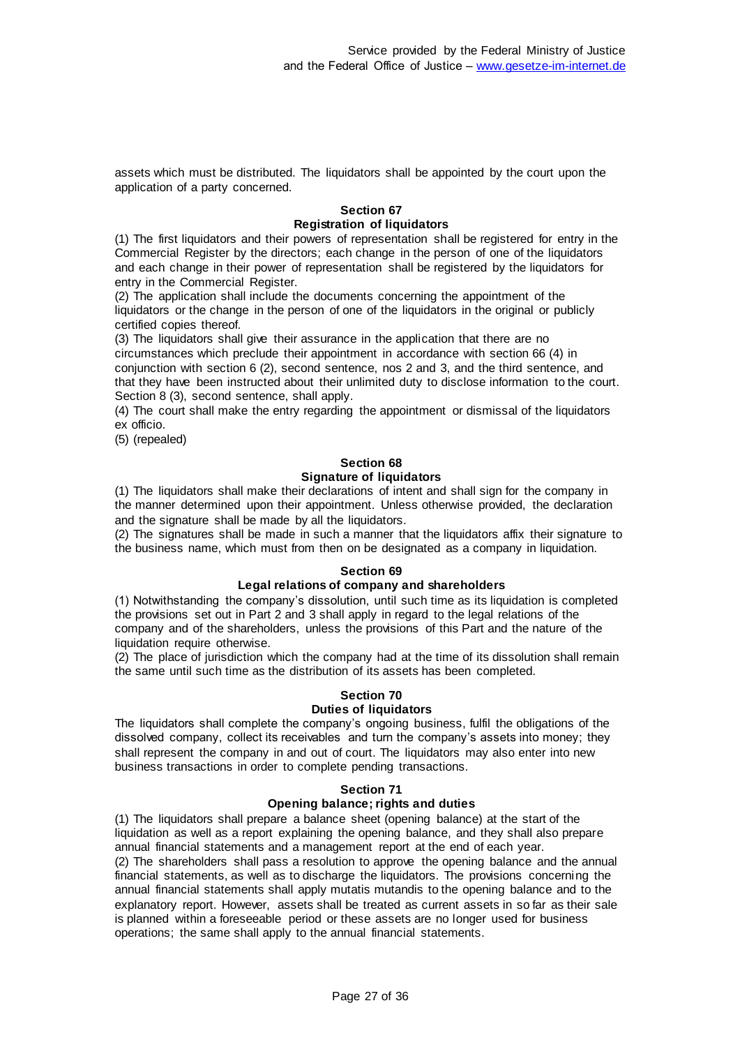assets which must be distributed. The liquidators shall be appointed by the court upon the application of a party concerned.

#### **Section 67 Registration of liquidators**

(1) The first liquidators and their powers of representation shall be registered for entry in the Commercial Register by the directors; each change in the person of one of the liquidators and each change in their power of representation shall be registered by the liquidators for entry in the Commercial Register.

(2) The application shall include the documents concerning the appointment of the liquidators or the change in the person of one of the liquidators in the original or publicly certified copies thereof.

(3) The liquidators shall give their assurance in the application that there are no circumstances which preclude their appointment in accordance with section 66 (4) in conjunction with section 6 (2), second sentence, nos 2 and 3, and the third sentence, and that they have been instructed about their unlimited duty to disclose information to the court. Section 8 (3), second sentence, shall apply.

(4) The court shall make the entry regarding the appointment or dismissal of the liquidators ex officio.

(5) (repealed)

#### **Section 68 Signature of liquidators**

(1) The liquidators shall make their declarations of intent and shall sign for the company in the manner determined upon their appointment. Unless otherwise provided, the declaration and the signature shall be made by all the liquidators.

(2) The signatures shall be made in such a manner that the liquidators affix their signature to the business name, which must from then on be designated as a company in liquidation.

#### **Section 69**

#### **Legal relations of company and shareholders**

(1) Notwithstanding the company's dissolution, until such time as its liquidation is completed the provisions set out in Part 2 and 3 shall apply in regard to the legal relations of the company and of the shareholders, unless the provisions of this Part and the nature of the liquidation require otherwise.

(2) The place of jurisdiction which the company had at the time of its dissolution shall remain the same until such time as the distribution of its assets has been completed.

# **Section 70**

# **Duties of liquidators**

The liquidators shall complete the company's ongoing business, fulfil the obligations of the dissolved company, collect its receivables and turn the company's assets into money; they shall represent the company in and out of court. The liquidators may also enter into new business transactions in order to complete pending transactions.

#### **Section 71**

#### **Opening balance; rights and duties**

(1) The liquidators shall prepare a balance sheet (opening balance) at the start of the liquidation as well as a report explaining the opening balance, and they shall also prepare annual financial statements and a management report at the end of each year.

(2) The shareholders shall pass a resolution to approve the opening balance and the annual financial statements, as well as to discharge the liquidators. The provisions concerning the annual financial statements shall apply mutatis mutandis to the opening balance and to the explanatory report. However, assets shall be treated as current assets in so far as their sale is planned within a foreseeable period or these assets are no longer used for business operations; the same shall apply to the annual financial statements.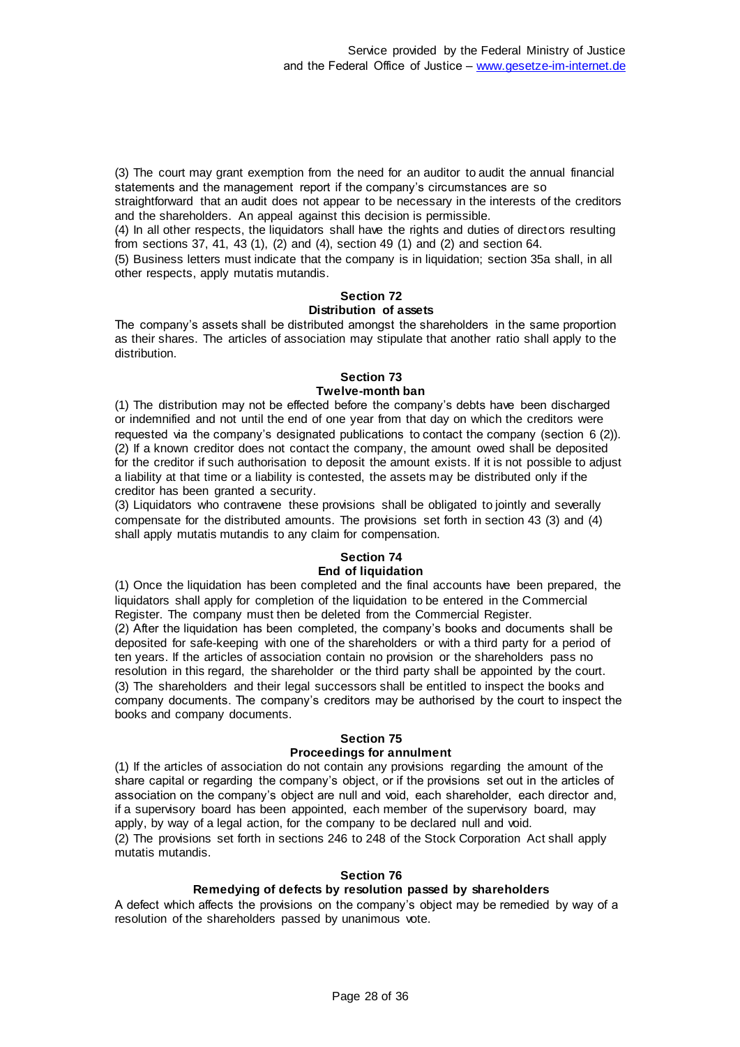(3) The court may grant exemption from the need for an auditor to audit the annual financial statements and the management report if the company's circumstances are so

straightforward that an audit does not appear to be necessary in the interests of the creditors and the shareholders. An appeal against this decision is permissible.

(4) In all other respects, the liquidators shall have the rights and duties of directors resulting from sections 37, 41, 43 (1), (2) and (4), section 49 (1) and (2) and section 64.

(5) Business letters must indicate that the company is in liquidation; section 35a shall, in all other respects, apply mutatis mutandis.

### **Section 72**

### **Distribution of assets**

The company's assets shall be distributed amongst the shareholders in the same proportion as their shares. The articles of association may stipulate that another ratio shall apply to the distribution.

#### **Section 73 Twelve-month ban**

(1) The distribution may not be effected before the company's debts have been discharged or indemnified and not until the end of one year from that day on which the creditors were requested via the company's designated publications to contact the company (section 6 (2)). (2) If a known creditor does not contact the company, the amount owed shall be deposited for the creditor if such authorisation to deposit the amount exists. If it is not possible to adjust a liability at that time or a liability is contested, the assets may be distributed only if the creditor has been granted a security.

(3) Liquidators who contravene these provisions shall be obligated to jointly and severally compensate for the distributed amounts. The provisions set forth in section 43 (3) and (4) shall apply mutatis mutandis to any claim for compensation.

#### **Section 74**

#### **End of liquidation**

(1) Once the liquidation has been completed and the final accounts have been prepared, the liquidators shall apply for completion of the liquidation to be entered in the Commercial Register. The company must then be deleted from the Commercial Register. (2) After the liquidation has been completed, the company's books and documents shall be deposited for safe-keeping with one of the shareholders or with a third party for a period of ten years. If the articles of association contain no provision or the shareholders pass no resolution in this regard, the shareholder or the third party shall be appointed by the court. (3) The shareholders and their legal successors shall be entitled to inspect the books and company documents. The company's creditors may be authorised by the court to inspect the books and company documents.

#### **Section 75 Proceedings for annulment**

(1) If the articles of association do not contain any provisions regarding the amount of the share capital or regarding the company's object, or if the provisions set out in the articles of association on the company's object are null and void, each shareholder, each director and, if a supervisory board has been appointed, each member of the supervisory board, may apply, by way of a legal action, for the company to be declared null and void. (2) The provisions set forth in sections 246 to 248 of the Stock Corporation Act shall apply mutatis mutandis.

### **Section 76**

## **Remedying of defects by resolution passed by shareholders**

A defect which affects the provisions on the company's object may be remedied by way of a resolution of the shareholders passed by unanimous vote.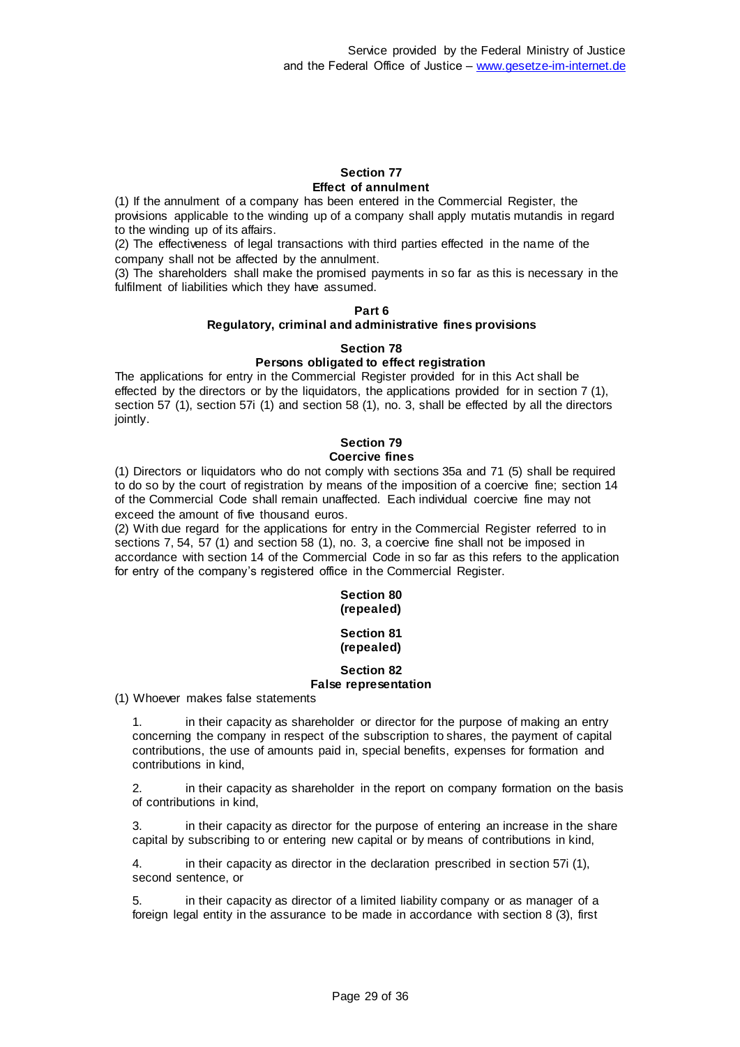#### **Section 77 Effect of annulment**

(1) If the annulment of a company has been entered in the Commercial Register, the provisions applicable to the winding up of a company shall apply mutatis mutandis in regard to the winding up of its affairs.

(2) The effectiveness of legal transactions with third parties effected in the name of the company shall not be affected by the annulment.

(3) The shareholders shall make the promised payments in so far as this is necessary in the fulfilment of liabilities which they have assumed.

## **Part 6**

#### **Regulatory, criminal and administrative fines provisions**

#### **Section 78 Persons obligated to effect registration**

The applications for entry in the Commercial Register provided for in this Act shall be effected by the directors or by the liquidators, the applications provided for in section 7 (1), section 57 (1), section 57i (1) and section 58 (1), no. 3, shall be effected by all the directors jointly.

#### **Section 79 Coercive fines**

(1) Directors or liquidators who do not comply with sections 35a and 71 (5) shall be required to do so by the court of registration by means of the imposition of a coercive fine; section 14 of the Commercial Code shall remain unaffected. Each individual coercive fine may not exceed the amount of five thousand euros.

(2) With due regard for the applications for entry in the Commercial Register referred to in sections 7, 54, 57 (1) and section 58 (1), no. 3, a coercive fine shall not be imposed in accordance with section 14 of the Commercial Code in so far as this refers to the application for entry of the company's registered office in the Commercial Register.

# **Section 80 (repealed)**

### **Section 81 (repealed)**

#### **Section 82 False representation**

(1) Whoever makes false statements

1. in their capacity as shareholder or director for the purpose of making an entry concerning the company in respect of the subscription to shares, the payment of capital contributions, the use of amounts paid in, special benefits, expenses for formation and contributions in kind,

2. in their capacity as shareholder in the report on company formation on the basis of contributions in kind,

3. in their capacity as director for the purpose of entering an increase in the share capital by subscribing to or entering new capital or by means of contributions in kind,

4. in their capacity as director in the declaration prescribed in section 57i (1), second sentence, or

5. in their capacity as director of a limited liability company or as manager of a foreign legal entity in the assurance to be made in accordance with section 8 (3), first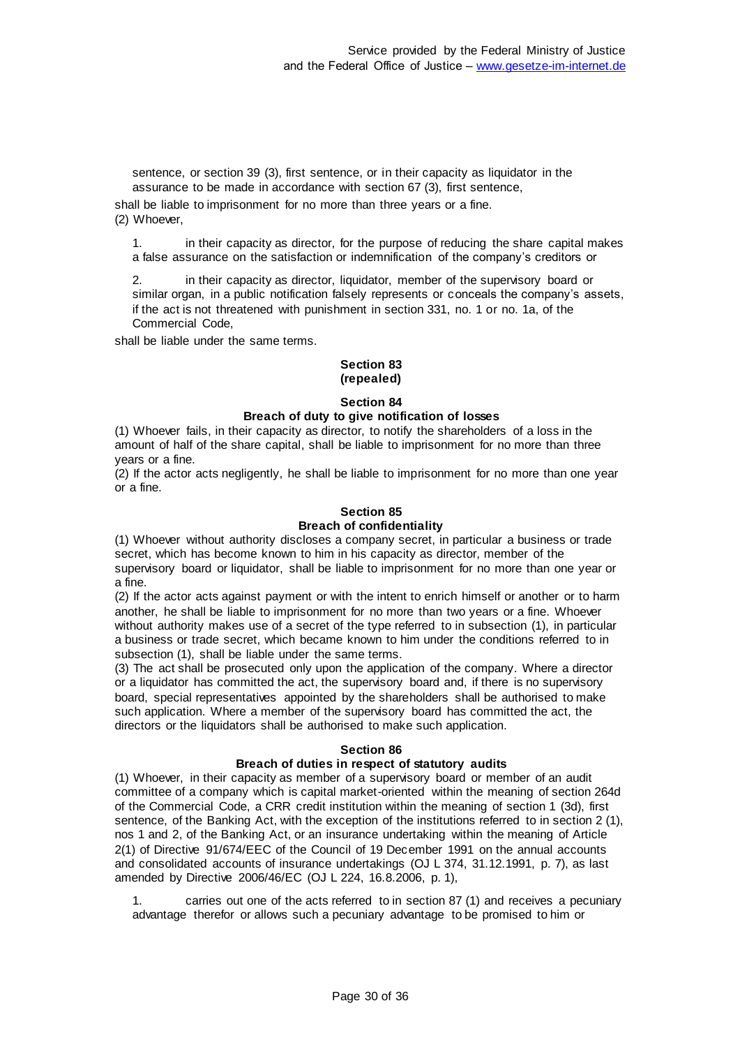sentence, or section 39 (3), first sentence, or in their capacity as liquidator in the assurance to be made in accordance with section 67 (3), first sentence,

shall be liable to imprisonment for no more than three years or a fine. (2) Whoever,

1. in their capacity as director, for the purpose of reducing the share capital makes a false assurance on the satisfaction or indemnification of the company's creditors or

2. in their capacity as director, liquidator, member of the supervisory board or similar organ, in a public notification falsely represents or conceals the company's assets, if the act is not threatened with punishment in section 331, no. 1 or no. 1a, of the Commercial Code,

shall be liable under the same terms.

#### **Section 83 (repealed)**

#### **Section 84**

#### **Breach of duty to give notification of losses**

(1) Whoever fails, in their capacity as director, to notify the shareholders of a loss in the amount of half of the share capital, shall be liable to imprisonment for no more than three years or a fine.

(2) If the actor acts negligently, he shall be liable to imprisonment for no more than one year or a fine.

#### **Section 85 Breach of confidentiality**

(1) Whoever without authority discloses a company secret, in particular a business or trade secret, which has become known to him in his capacity as director, member of the supervisory board or liquidator, shall be liable to imprisonment for no more than one year or a fine.

(2) If the actor acts against payment or with the intent to enrich himself or another or to harm another, he shall be liable to imprisonment for no more than two years or a fine. Whoever without authority makes use of a secret of the type referred to in subsection (1), in particular a business or trade secret, which became known to him under the conditions referred to in subsection (1), shall be liable under the same terms.

(3) The act shall be prosecuted only upon the application of the company. Where a director or a liquidator has committed the act, the supervisory board and, if there is no supervisory board, special representatives appointed by the shareholders shall be authorised to make such application. Where a member of the supervisory board has committed the act, the directors or the liquidators shall be authorised to make such application.

#### **Section 86**

#### **Breach of duties in respect of statutory audits**

(1) Whoever, in their capacity as member of a supervisory board or member of an audit committee of a company which is capital market-oriented within the meaning of section 264d of the Commercial Code, a CRR credit institution within the meaning of section 1 (3d), first sentence, of the Banking Act, with the exception of the institutions referred to in section 2 (1), nos 1 and 2, of the Banking Act, or an insurance undertaking within the meaning of Article 2(1) of Directive 91/674/EEC of the Council of 19 December 1991 on the annual accounts and consolidated accounts of insurance undertakings (OJ L 374, 31.12.1991, p. 7), as last amended by Directive 2006/46/EC (OJ L 224, 16.8.2006, p. 1),

1. carries out one of the acts referred to in section 87 (1) and receives a pecuniary advantage therefor or allows such a pecuniary advantage to be promised to him or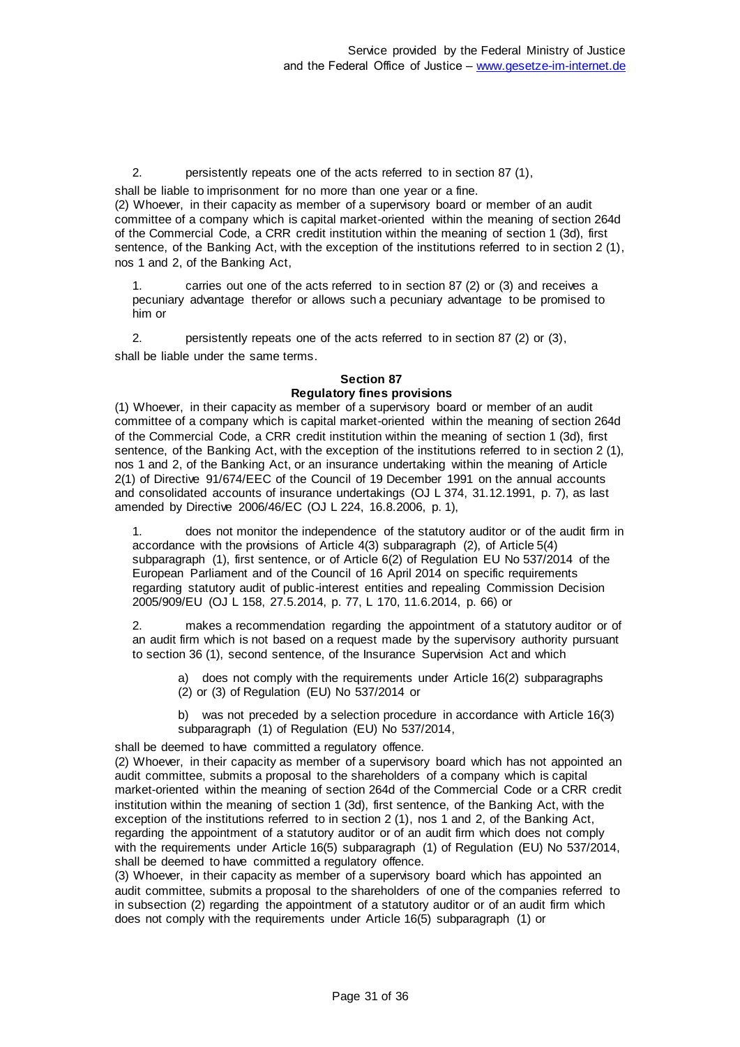2. persistently repeats one of the acts referred to in section 87 (1),

shall be liable to imprisonment for no more than one year or a fine.

(2) Whoever, in their capacity as member of a supervisory board or member of an audit committee of a company which is capital market-oriented within the meaning of section 264d of the Commercial Code, a CRR credit institution within the meaning of section 1 (3d), first sentence, of the Banking Act, with the exception of the institutions referred to in section 2 (1), nos 1 and 2, of the Banking Act,

1. carries out one of the acts referred to in section 87 (2) or (3) and receives a pecuniary advantage therefor or allows such a pecuniary advantage to be promised to him or

2. persistently repeats one of the acts referred to in section 87 (2) or (3), shall be liable under the same terms.

#### **Section 87 Regulatory fines provisions**

(1) Whoever, in their capacity as member of a supervisory board or member of an audit committee of a company which is capital market-oriented within the meaning of section 264d of the Commercial Code, a CRR credit institution within the meaning of section 1 (3d), first sentence, of the Banking Act, with the exception of the institutions referred to in section 2 (1), nos 1 and 2, of the Banking Act, or an insurance undertaking within the meaning of Article 2(1) of Directive 91/674/EEC of the Council of 19 December 1991 on the annual accounts and consolidated accounts of insurance undertakings (OJ L 374, 31.12.1991, p. 7), as last amended by Directive 2006/46/EC (OJ L 224, 16.8.2006, p. 1),

1. does not monitor the independence of the statutory auditor or of the audit firm in accordance with the provisions of Article 4(3) subparagraph (2), of Article 5(4) subparagraph (1), first sentence, or of Article 6(2) of Regulation EU No 537/2014 of the European Parliament and of the Council of 16 April 2014 on specific requirements regarding statutory audit of public-interest entities and repealing Commission Decision 2005/909/EU (OJ L 158, 27.5.2014, p. 77, L 170, 11.6.2014, p. 66) or

2. makes a recommendation regarding the appointment of a statutory auditor or of an audit firm which is not based on a request made by the supervisory authority pursuant to section 36 (1), second sentence, of the Insurance Supervision Act and which

a) does not comply with the requirements under Article 16(2) subparagraphs (2) or (3) of Regulation (EU) No 537/2014 or

b) was not preceded by a selection procedure in accordance with Article 16(3) subparagraph (1) of Regulation (EU) No 537/2014,

shall be deemed to have committed a regulatory offence.

(2) Whoever, in their capacity as member of a supervisory board which has not appointed an audit committee, submits a proposal to the shareholders of a company which is capital market-oriented within the meaning of section 264d of the Commercial Code or a CRR credit institution within the meaning of section 1 (3d), first sentence, of the Banking Act, with the exception of the institutions referred to in section 2 (1), nos 1 and 2, of the Banking Act, regarding the appointment of a statutory auditor or of an audit firm which does not comply with the requirements under Article 16(5) subparagraph (1) of Regulation (EU) No 537/2014, shall be deemed to have committed a regulatory offence.

(3) Whoever, in their capacity as member of a supervisory board which has appointed an audit committee, submits a proposal to the shareholders of one of the companies referred to in subsection (2) regarding the appointment of a statutory auditor or of an audit firm which does not comply with the requirements under Article 16(5) subparagraph (1) or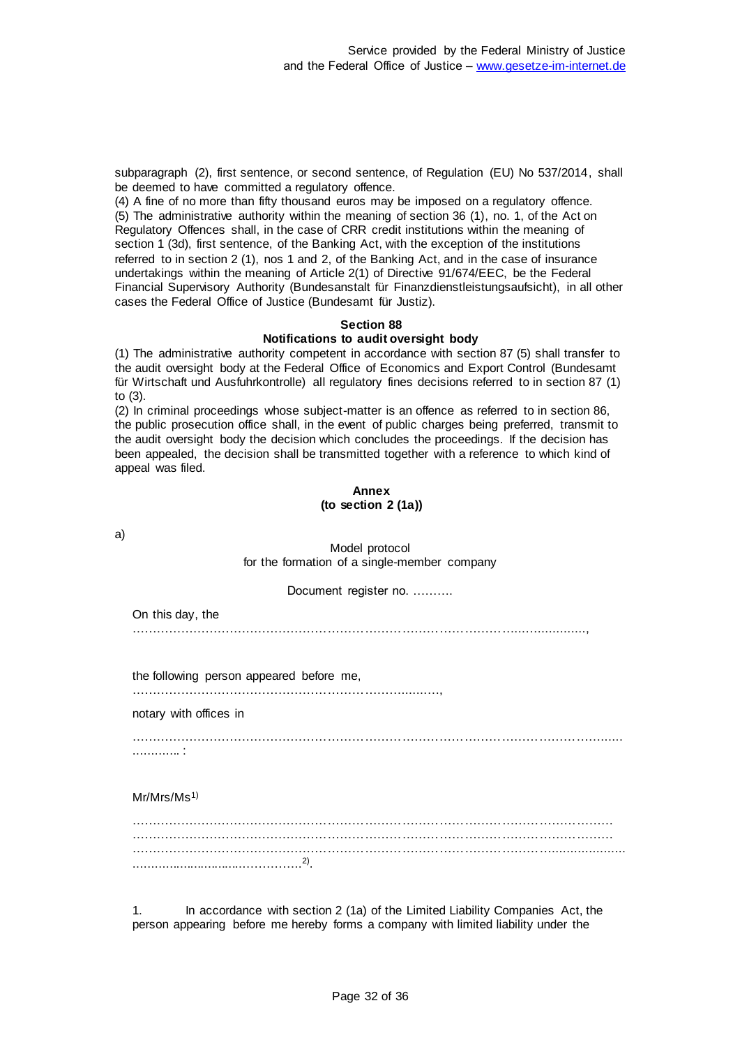subparagraph (2), first sentence, or second sentence, of Regulation (EU) No 537/2014, shall be deemed to have committed a regulatory offence.

(4) A fine of no more than fifty thousand euros may be imposed on a regulatory offence. (5) The administrative authority within the meaning of section 36 (1), no. 1, of the Act on Regulatory Offences shall, in the case of CRR credit institutions within the meaning of section 1 (3d), first sentence, of the Banking Act, with the exception of the institutions referred to in section 2 (1), nos 1 and 2, of the Banking Act, and in the case of insurance undertakings within the meaning of Article 2(1) of Directive 91/674/EEC, be the Federal Financial Supervisory Authority (Bundesanstalt für Finanzdienstleistungsaufsicht), in all other cases the Federal Office of Justice (Bundesamt für Justiz).

### **Section 88 Notifications to audit oversight body**

(1) The administrative authority competent in accordance with section 87 (5) shall transfer to the audit oversight body at the Federal Office of Economics and Export Control (Bundesamt für Wirtschaft und Ausfuhrkontrolle) all regulatory fines decisions referred to in section 87 (1) to (3).

(2) In criminal proceedings whose subject-matter is an offence as referred to in section 86, the public prosecution office shall, in the event of public charges being preferred, transmit to the audit oversight body the decision which concludes the proceedings. If the decision has been appealed, the decision shall be transmitted together with a reference to which kind of appeal was filed.

#### **Annex (to section 2 (1a))**

a)

## Model protocol for the formation of a single-member company

Document register no. ……….

On this day, the …………………………………………………………………………………...….............,

the following person appeared before me,

………………………………………………………….......…,

notary with offices in

……………………………………………………………………………………………………...... ............. :

Mr/Mrs/Ms1)

1. In accordance with section 2 (1a) of the Limited Liability Companies Act, the person appearing before me hereby forms a company with limited liability under the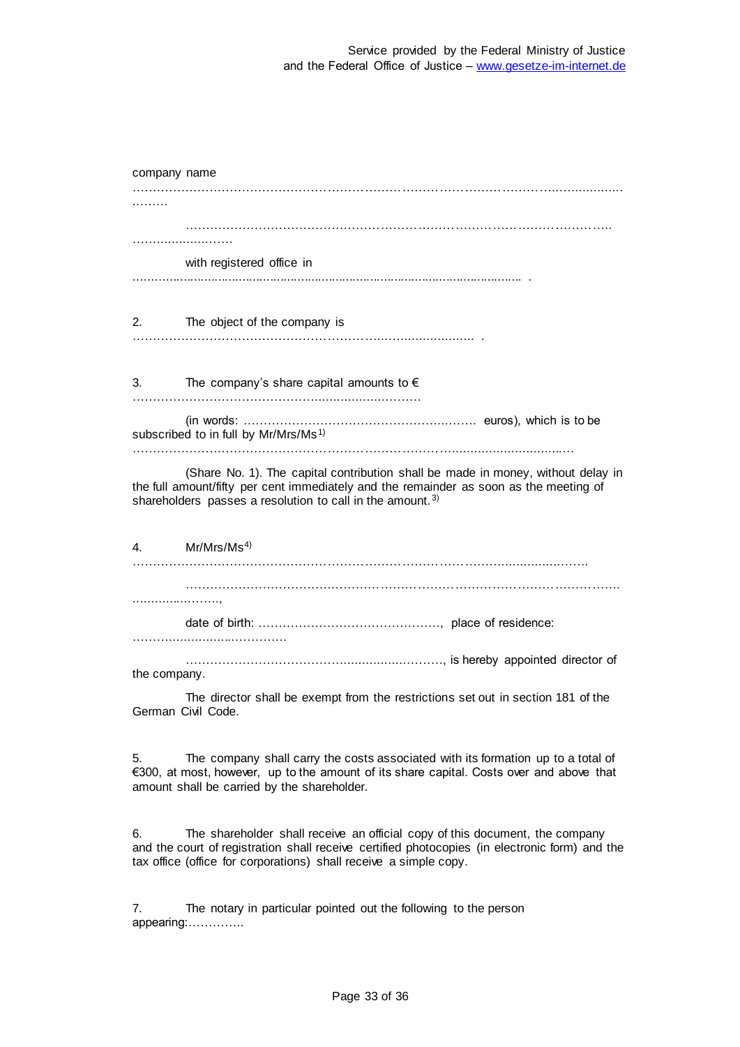| company name |                                                                                                                                                                                                                                                     |
|--------------|-----------------------------------------------------------------------------------------------------------------------------------------------------------------------------------------------------------------------------------------------------|
|              |                                                                                                                                                                                                                                                     |
|              |                                                                                                                                                                                                                                                     |
|              | with registered office in                                                                                                                                                                                                                           |
|              |                                                                                                                                                                                                                                                     |
| 2.           | The object of the company is                                                                                                                                                                                                                        |
|              |                                                                                                                                                                                                                                                     |
|              | 3. The company's share capital amounts to $\epsilon$                                                                                                                                                                                                |
|              | subscribed to in full by Mr/Mrs/Ms <sup>1)</sup>                                                                                                                                                                                                    |
|              | (Share No. 1). The capital contribution shall be made in money, without delay in<br>the full amount/fifty per cent immediately and the remainder as soon as the meeting of<br>shareholders passes a resolution to call in the amount. <sup>3)</sup> |
| 4.           | Mr/Mrs/Ms <sup>4</sup> )                                                                                                                                                                                                                            |
|              |                                                                                                                                                                                                                                                     |
|              |                                                                                                                                                                                                                                                     |
|              |                                                                                                                                                                                                                                                     |
| the company. |                                                                                                                                                                                                                                                     |
|              | The director shall be exempt from the restrictions set out in section 181 of the<br>German Civil Code.                                                                                                                                              |

5. The company shall carry the costs associated with its formation up to a total of €300, at most, however, up to the amount of its share capital. Costs over and above that amount shall be carried by the shareholder.

6. The shareholder shall receive an official copy of this document, the company and the court of registration shall receive certified photocopies (in electronic form) and the tax office (office for corporations) shall receive a simple copy.

7. The notary in particular pointed out the following to the person appearing:…………..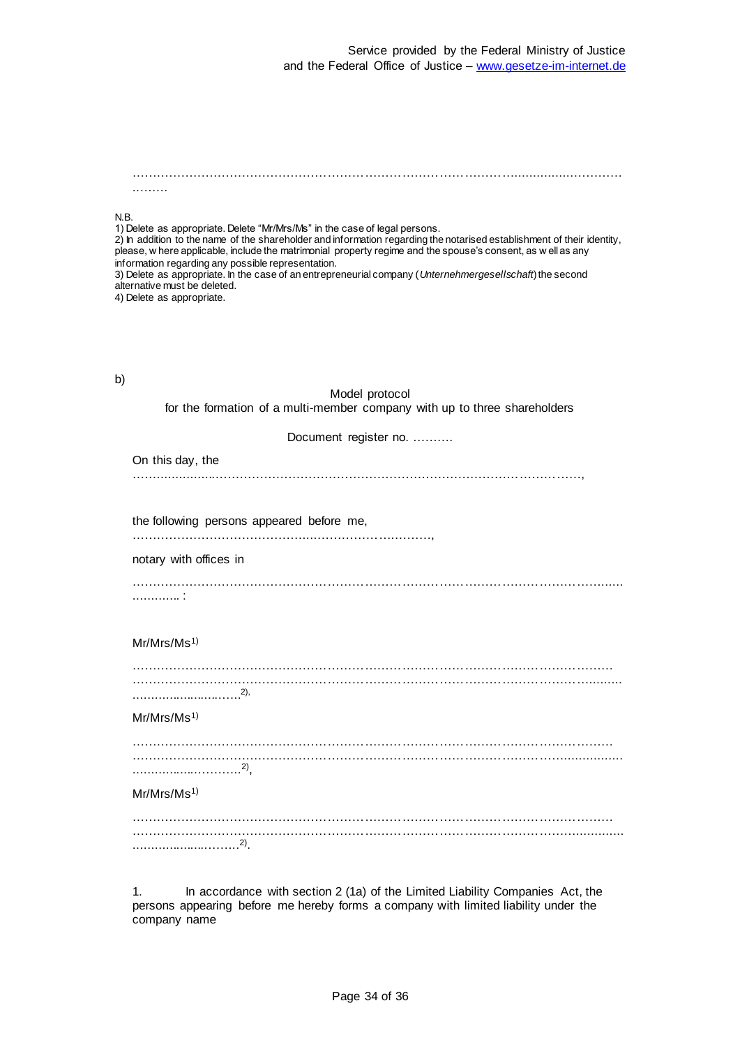…………………………………………………………………………………................………… ..…….

#### N.B.

1) Delete as appropriate. Delete "Mr/Mrs/Ms" in the case of legal persons. 2) In addition to the name of the shareholder and information regarding the notarised establishment of their identity, please, w here applicable, include the matrimonial property regime and the spouse's consent, as w ell as any information regarding any possible representation. 3) Delete as appropriate. In the case of an entrepreneurial company (*Unternehmergesellschaft*) the second alternative must be deleted.

4) Delete as appropriate.

| ٦  |   |
|----|---|
| ۰, | I |
|    | I |

#### Model protocol for the formation of a multi-member company with up to three shareholders

Document register no. ……….

On this day, the ……................………………………………………………………………………………,

the following persons appeared before me,

……………………………………....……………….………,

notary with offices in

……………………………………………………………………………………………………...... ............. :

#### Mr/Mrs/Ms<sup>1)</sup>

#### Mr/Mrs/Ms<sup>1)</sup>

……………………………………………………………………………………………………… ……………………………………………………………………………………………................ ..................……….. 2) ,

#### Mr/Mrs/Ms 1)

……………………………………………………………………………………………………… ………………………………………………………………………………………………............. .....................…….. 2) .

1. In accordance with section 2 (1a) of the Limited Liability Companies Act, the persons appearing before me hereby forms a company with limited liability under the company name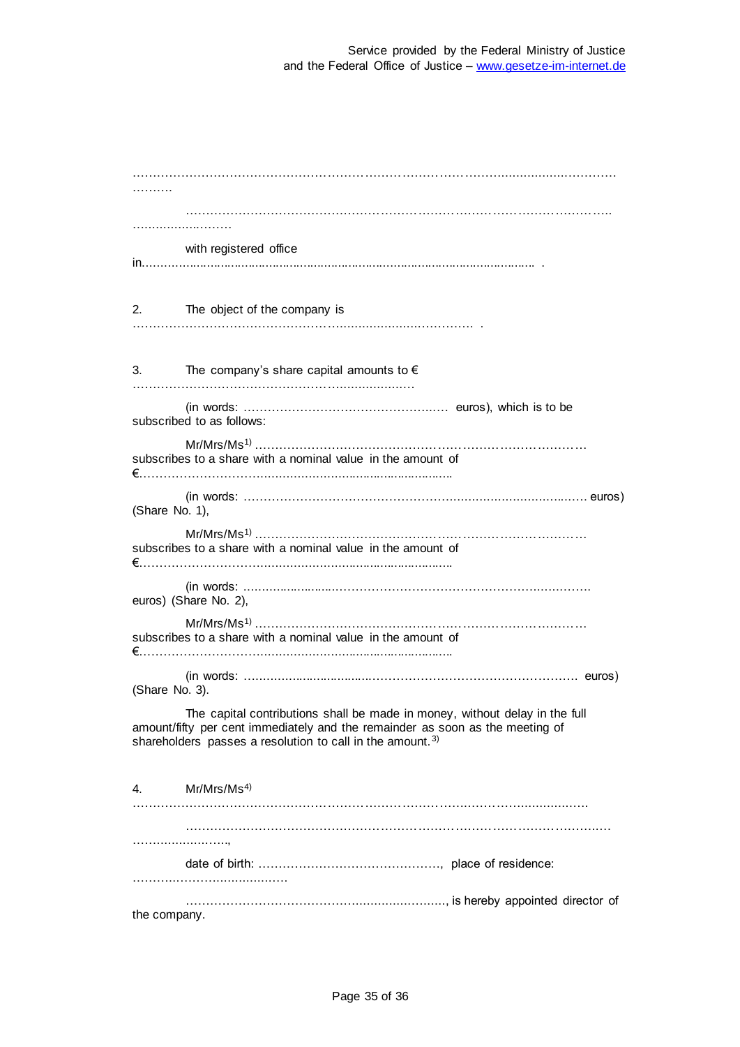| with registered office                                                                                                                                                                                                                |
|---------------------------------------------------------------------------------------------------------------------------------------------------------------------------------------------------------------------------------------|
| 2.<br>The object of the company is                                                                                                                                                                                                    |
| The company's share capital amounts to $\epsilon$<br>3.                                                                                                                                                                               |
| subscribed to as follows:                                                                                                                                                                                                             |
| subscribes to a share with a nominal value in the amount of                                                                                                                                                                           |
| (Share No. 1),                                                                                                                                                                                                                        |
| subscribes to a share with a nominal value in the amount of                                                                                                                                                                           |
| euros) (Share No. 2),                                                                                                                                                                                                                 |
| subscribes to a share with a nominal value in the amount of                                                                                                                                                                           |
| (Share No. 3).                                                                                                                                                                                                                        |
| The capital contributions shall be made in money, without delay in the full<br>amount/fifty per cent immediately and the remainder as soon as the meeting of<br>shareholders passes a resolution to call in the amount. <sup>3)</sup> |
| Mr/Mrs/Ms <sup>4</sup> )<br>4.                                                                                                                                                                                                        |
|                                                                                                                                                                                                                                       |
|                                                                                                                                                                                                                                       |
| the company.                                                                                                                                                                                                                          |